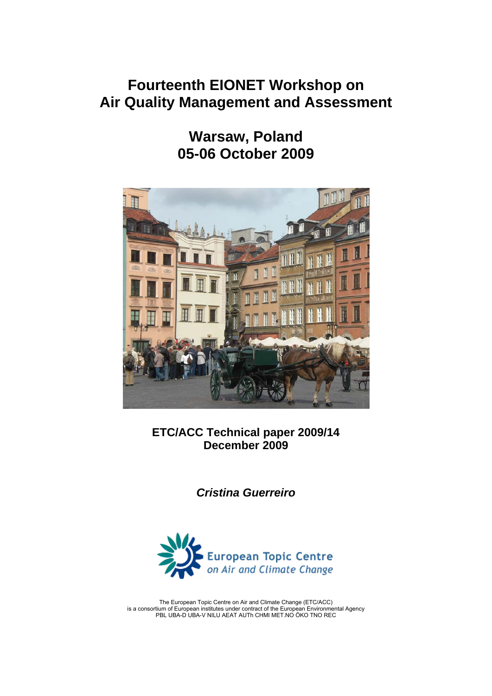# **Fourteenth EIONET Workshop on Air Quality Management and Assessment**

**Warsaw, Poland 05-06 October 2009** 



**ETC/ACC Technical paper 2009/14 December 2009** 

*Cristina Guerreiro*



The European Topic Centre on Air and Climate Change (ETC/ACC) is a consortium of European institutes under contract of the European Environmental Agency PBL UBA-D UBA-V NILU AEAT AUTh CHMI MET.NO ÖKO TNO REC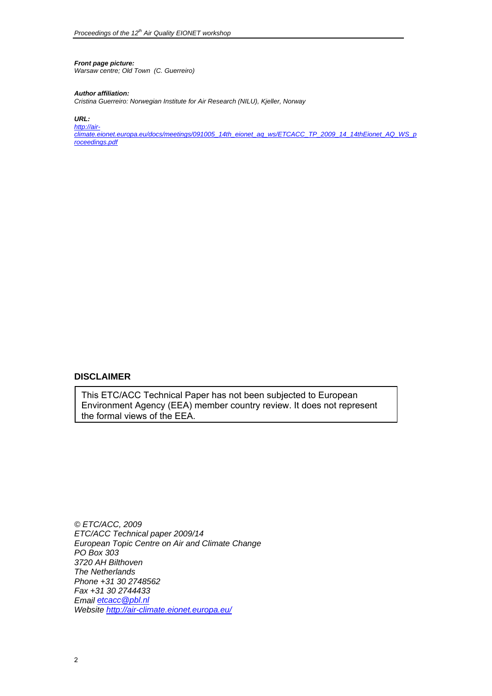# *Front page picture:*

*Warsaw centre; Old Town (C. Guerreiro)* 

#### *Author affiliation:*

*Cristina Guerreiro: Norwegian Institute for Air Research (NILU), Kjeller, Norway* 

*URL:* 

*[http://air](http://air-climate.eionet.europa.eu/docs/meetings/091005_14th_eionet_aq_ws/ETCACC_TP_2009_14_14thEionet_AQ_WS_proceedings.pdf)[climate.eionet.europa.eu/docs/meetings/091005\\_14th\\_eionet\\_aq\\_ws/ETCACC\\_TP\\_2009\\_14\\_14thEionet\\_AQ\\_WS\\_p](http://air-climate.eionet.europa.eu/docs/meetings/091005_14th_eionet_aq_ws/ETCACC_TP_2009_14_14thEionet_AQ_WS_proceedings.pdf) [roceedings.pdf](http://air-climate.eionet.europa.eu/docs/meetings/091005_14th_eionet_aq_ws/ETCACC_TP_2009_14_14thEionet_AQ_WS_proceedings.pdf)* 

## **DISCLAIMER**

This ETC/ACC Technical Paper has not been subjected to European Environment Agency (EEA) member country review. It does not represent the formal views of the EEA.

*© ETC/ACC, 2009 ETC/ACC Technical paper 2009/14 European Topic Centre on Air and Climate Change PO Box 303 3720 AH Bilthoven The Netherlands Phone +31 30 2748562 Fax +31 30 2744433 Email [etcacc@pbl.nl](mailto:etcacc@pbl.nl) Website <http://air-climate.eionet.europa.eu/>*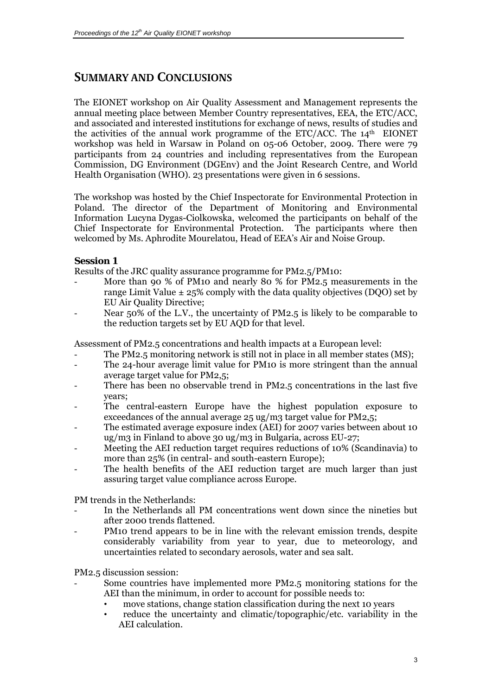# <span id="page-2-0"></span>**SUMMARY AND CONCLUSIONS**

The EIONET workshop on Air Quality Assessment and Management represents the annual meeting place between Member Country representatives, EEA, the ETC/ACC, and associated and interested institutions for exchange of news, results of studies and the activities of the annual work programme of the ETC/ACC. The  $14<sup>th</sup>$  EIONET workshop was held in Warsaw in Poland on 05-06 October, 2009. There were 79 participants from 24 countries and including representatives from the European Commission, DG Environment (DGEnv) and the Joint Research Centre, and World Health Organisation (WHO). 23 presentations were given in 6 sessions.

The workshop was hosted by the Chief Inspectorate for Environmental Protection in Poland. The director of the Department of Monitoring and Environmental Information Lucyna Dygas-Ciolkowska, welcomed the participants on behalf of the Chief Inspectorate for Environmental Protection. The participants where then welcomed by Ms. Aphrodite Mourelatou, Head of EEA's Air and Noise Group.

### **Session 1**

Results of the JRC quality assurance programme for PM2.5/PM10:

- More than 90 % of PM10 and nearly 80 % for PM2.5 measurements in the range Limit Value  $\pm$  25% comply with the data quality objectives (DQO) set by EU Air Quality Directive;
- Near 50% of the L.V., the uncertainty of PM2.5 is likely to be comparable to the reduction targets set by EU AQD for that level.

Assessment of PM2.5 concentrations and health impacts at a European level:

- The PM2.5 monitoring network is still not in place in all member states (MS);
- The 24-hour average limit value for PM10 is more stringent than the annual average target value for PM2,5;
- There has been no observable trend in PM2.5 concentrations in the last five years;
- The central-eastern Europe have the highest population exposure to exceedances of the annual average 25 ug/m3 target value for PM2,5;
- The estimated average exposure index (AEI) for 2007 varies between about 10 ug/m3 in Finland to above 30 ug/m3 in Bulgaria, across EU-27;
- Meeting the AEI reduction target requires reductions of 10% (Scandinavia) to more than 25% (in central- and south-eastern Europe);
- The health benefits of the AEI reduction target are much larger than just assuring target value compliance across Europe.

PM trends in the Netherlands:

- In the Netherlands all PM concentrations went down since the nineties but after 2000 trends flattened.
- PM10 trend appears to be in line with the relevant emission trends, despite considerably variability from year to year, due to meteorology, and uncertainties related to secondary aerosols, water and sea salt.

PM2.5 discussion session:

- Some countries have implemented more PM2.5 monitoring stations for the AEI than the minimum, in order to account for possible needs to:
	- move stations, change station classification during the next 10 years
	- reduce the uncertainty and climatic/topographic/etc. variability in the AEI calculation.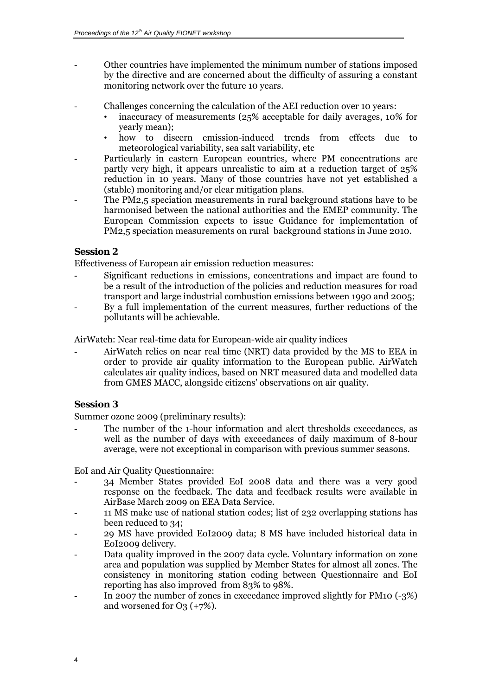- Other countries have implemented the minimum number of stations imposed by the directive and are concerned about the difficulty of assuring a constant monitoring network over the future 10 years.
- Challenges concerning the calculation of the AEI reduction over 10 years:
	- inaccuracy of measurements (25% acceptable for daily averages, 10% for yearly mean);
	- how to discern emission-induced trends from effects due to meteorological variability, sea salt variability, etc
- Particularly in eastern European countries, where PM concentrations are partly very high, it appears unrealistic to aim at a reduction target of 25% reduction in 10 years. Many of those countries have not yet established a (stable) monitoring and/or clear mitigation plans.
- The PM2,5 speciation measurements in rural background stations have to be harmonised between the national authorities and the EMEP community. The European Commission expects to issue Guidance for implementation of PM2,5 speciation measurements on rural background stations in June 2010.

#### **Session 2**

Effectiveness of European air emission reduction measures:

- Significant reductions in emissions, concentrations and impact are found to be a result of the introduction of the policies and reduction measures for road transport and large industrial combustion emissions between 1990 and 2005;
- By a full implementation of the current measures, further reductions of the pollutants will be achievable.

AirWatch: Near real-time data for European-wide air quality indices

- AirWatch relies on near real time (NRT) data provided by the MS to EEA in order to provide air quality information to the European public. AirWatch calculates air quality indices, based on NRT measured data and modelled data from GMES MACC, alongside citizens' observations on air quality.

### **Session 3**

Summer ozone 2009 (preliminary results):

The number of the 1-hour information and alert thresholds exceedances, as well as the number of days with exceedances of daily maximum of 8-hour average, were not exceptional in comparison with previous summer seasons.

EoI and Air Quality Questionnaire:

- 34 Member States provided EoI 2008 data and there was a very good response on the feedback. The data and feedback results were available in AirBase March 2009 on EEA Data Service.
- 11 MS make use of national station codes; list of 232 overlapping stations has been reduced to 34;
- 29 MS have provided EoI2009 data; 8 MS have included historical data in EoI2009 delivery.
- Data quality improved in the 2007 data cycle. Voluntary information on zone area and population was supplied by Member States for almost all zones. The consistency in monitoring station coding between Questionnaire and EoI reporting has also improved from 83% to 98%.
- In 2007 the number of zones in exceedance improved slightly for PM10 (-3%) and worsened for  $O_3$  (+7%).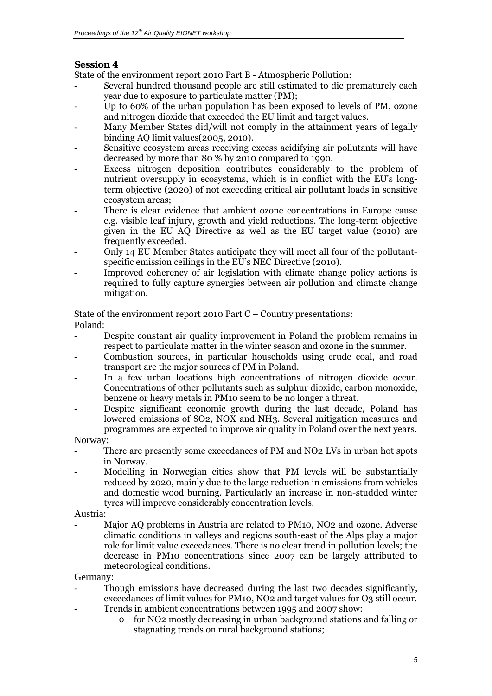# **Session 4**

State of the environment report 2010 Part B - Atmospheric Pollution:

- Several hundred thousand people are still estimated to die prematurely each year due to exposure to particulate matter (PM);
- Up to 60% of the urban population has been exposed to levels of PM, ozone and nitrogen dioxide that exceeded the EU limit and target values.
- Many Member States did/will not comply in the attainment years of legally binding AQ limit values(2005, 2010).
- Sensitive ecosystem areas receiving excess acidifying air pollutants will have decreased by more than 80 % by 2010 compared to 1990.
- Excess nitrogen deposition contributes considerably to the problem of nutrient oversupply in ecosystems, which is in conflict with the EU's longterm objective (2020) of not exceeding critical air pollutant loads in sensitive ecosystem areas;
- There is clear evidence that ambient ozone concentrations in Europe cause e.g. visible leaf injury, growth and yield reductions. The long-term objective given in the EU AQ Directive as well as the EU target value (2010) are frequently exceeded.
- Only 14 EU Member States anticipate they will meet all four of the pollutantspecific emission ceilings in the EU's NEC Directive (2010).
- Improved coherency of air legislation with climate change policy actions is required to fully capture synergies between air pollution and climate change mitigation.

State of the environment report 2010 Part C – Country presentations: Poland:

- Despite constant air quality improvement in Poland the problem remains in respect to particulate matter in the winter season and ozone in the summer.
- Combustion sources, in particular households using crude coal, and road transport are the major sources of PM in Poland.
- In a few urban locations high concentrations of nitrogen dioxide occur. Concentrations of other pollutants such as sulphur dioxide, carbon monoxide, benzene or heavy metals in PM10 seem to be no longer a threat.
- Despite significant economic growth during the last decade, Poland has lowered emissions of SO2, NOX and NH3. Several mitigation measures and programmes are expected to improve air quality in Poland over the next years.

Norway:

- There are presently some exceedances of PM and NO2 LVs in urban hot spots in Norway.
- Modelling in Norwegian cities show that PM levels will be substantially reduced by 2020, mainly due to the large reduction in emissions from vehicles and domestic wood burning. Particularly an increase in non-studded winter tyres will improve considerably concentration levels.

Austria:

Major AQ problems in Austria are related to PM10, NO2 and ozone. Adverse climatic conditions in valleys and regions south-east of the Alps play a major role for limit value exceedances. There is no clear trend in pollution levels; the decrease in PM10 concentrations since 2007 can be largely attributed to meteorological conditions.

Germany:

- Though emissions have decreased during the last two decades significantly, exceedances of limit values for PM10, NO<sub>2</sub> and target values for O<sub>3</sub> still occur. Trends in ambient concentrations between 1995 and 2007 show:
	- o for NO2 mostly decreasing in urban background stations and falling or stagnating trends on rural background stations;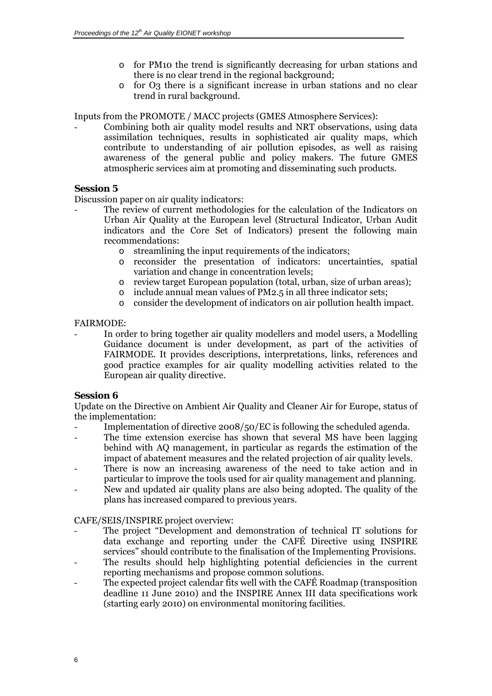- o for PM10 the trend is significantly decreasing for urban stations and there is no clear trend in the regional background;
- o for O3 there is a significant increase in urban stations and no clear trend in rural background.

Inputs from the PROMOTE / MACC projects (GMES Atmosphere Services):

- Combining both air quality model results and NRT observations, using data assimilation techniques, results in sophisticated air quality maps, which contribute to understanding of air pollution episodes, as well as raising awareness of the general public and policy makers. The future GMES atmospheric services aim at promoting and disseminating such products.

#### **Session 5**

Discussion paper on air quality indicators:

- The review of current methodologies for the calculation of the Indicators on Urban Air Quality at the European level (Structural Indicator, Urban Audit indicators and the Core Set of Indicators) present the following main recommendations:
	- o streamlining the input requirements of the indicators;
	- o reconsider the presentation of indicators: uncertainties, spatial variation and change in concentration levels;
	- o review target European population (total, urban, size of urban areas);
	- o include annual mean values of PM2.5 in all three indicator sets;
	- o consider the development of indicators on air pollution health impact.

#### FAIRMODE:

In order to bring together air quality modellers and model users, a Modelling Guidance document is under development, as part of the activities of FAIRMODE. It provides descriptions, interpretations, links, references and good practice examples for air quality modelling activities related to the European air quality directive.

#### **Session 6**

Update on the Directive on Ambient Air Quality and Cleaner Air for Europe, status of the implementation:

- Implementation of directive 2008/50/EC is following the scheduled agenda.
- The time extension exercise has shown that several MS have been lagging behind with AQ management, in particular as regards the estimation of the impact of abatement measures and the related projection of air quality levels.
- There is now an increasing awareness of the need to take action and in particular to improve the tools used for air quality management and planning. - New and updated air quality plans are also being adopted. The quality of the
- plans has increased compared to previous years.

#### CAFE/SEIS/INSPIRE project overview:

- The project "Development and demonstration of technical IT solutions for data exchange and reporting under the CAFÉ Directive using INSPIRE services" should contribute to the finalisation of the Implementing Provisions.
- The results should help highlighting potential deficiencies in the current reporting mechanisms and propose common solutions.
- The expected project calendar fits well with the CAFÉ Roadmap (transposition deadline 11 June 2010) and the INSPIRE Annex III data specifications work (starting early 2010) on environmental monitoring facilities.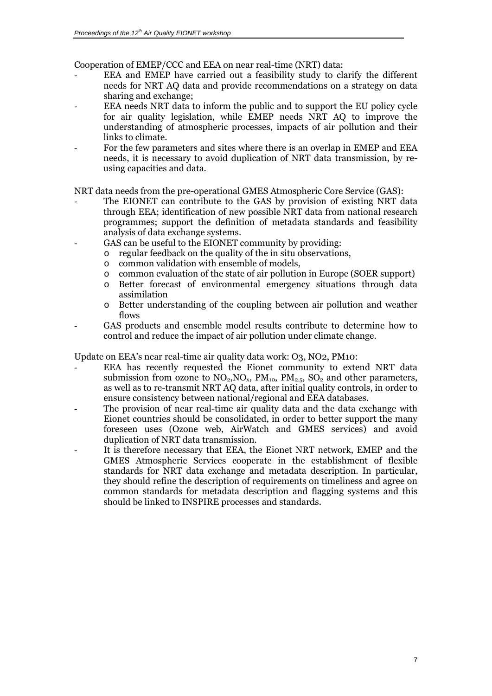Cooperation of EMEP/CCC and EEA on near real-time (NRT) data:

- EEA and EMEP have carried out a feasibility study to clarify the different needs for NRT AQ data and provide recommendations on a strategy on data sharing and exchange;
- EEA needs NRT data to inform the public and to support the EU policy cycle for air quality legislation, while EMEP needs NRT AQ to improve the understanding of atmospheric processes, impacts of air pollution and their links to climate.
- For the few parameters and sites where there is an overlap in EMEP and EEA needs, it is necessary to avoid duplication of NRT data transmission, by reusing capacities and data.

NRT data needs from the pre-operational GMES Atmospheric Core Service (GAS):

- The EIONET can contribute to the GAS by provision of existing NRT data through EEA; identification of new possible NRT data from national research programmes; support the definition of metadata standards and feasibility analysis of data exchange systems.
	- GAS can be useful to the EIONET community by providing:
		- o regular feedback on the quality of the in situ observations,
		- o common validation with ensemble of models,
		- o common evaluation of the state of air pollution in Europe (SOER support)
		- o Better forecast of environmental emergency situations through data assimilation
		- o Better understanding of the coupling between air pollution and weather flows
- GAS products and ensemble model results contribute to determine how to control and reduce the impact of air pollution under climate change.

Update on EEA's near real-time air quality data work: O3, NO2, PM10:

- EEA has recently requested the Eionet community to extend NRT data submission from ozone to  $NO_2, NO_x$ ,  $PM_{10}$ ,  $PM_{2.5}$ ,  $SO_2$  and other parameters, as well as to re-transmit NRT AQ data, after initial quality controls, in order to ensure consistency between national/regional and EEA databases.
- The provision of near real-time air quality data and the data exchange with Eionet countries should be consolidated, in order to better support the many foreseen uses (Ozone web, AirWatch and GMES services) and avoid duplication of NRT data transmission.
- It is therefore necessary that EEA, the Eionet NRT network, EMEP and the GMES Atmospheric Services cooperate in the establishment of flexible standards for NRT data exchange and metadata description. In particular, they should refine the description of requirements on timeliness and agree on common standards for metadata description and flagging systems and this should be linked to INSPIRE processes and standards.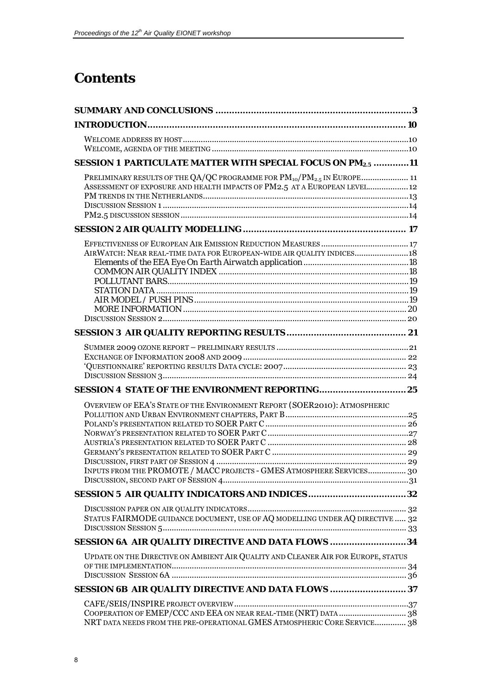# **Contents**

| SESSION 1 PARTICULATE MATTER WITH SPECIAL FOCUS ON PM2.5 11                       |  |
|-----------------------------------------------------------------------------------|--|
| PRELIMINARY RESULTS OF THE QA/QC PROGRAMME FOR $PM_{10}/PM_{2.5}$ IN EUROPE 11    |  |
| ASSESSMENT OF EXPOSURE AND HEALTH IMPACTS OF PM2.5 AT A EUROPEAN LEVEL 12         |  |
|                                                                                   |  |
|                                                                                   |  |
|                                                                                   |  |
|                                                                                   |  |
| AIRWATCH: NEAR REAL-TIME DATA FOR EUROPEAN-WIDE AIR QUALITY INDICES18             |  |
|                                                                                   |  |
|                                                                                   |  |
|                                                                                   |  |
|                                                                                   |  |
|                                                                                   |  |
|                                                                                   |  |
|                                                                                   |  |
|                                                                                   |  |
|                                                                                   |  |
|                                                                                   |  |
|                                                                                   |  |
| OVERVIEW OF EEA'S STATE OF THE ENVIRONMENT REPORT (SOER2010): ATMOSPHERIC         |  |
|                                                                                   |  |
|                                                                                   |  |
|                                                                                   |  |
|                                                                                   |  |
|                                                                                   |  |
| INPUTS FROM THE PROMOTE / MACC PROJECTS - GMES ATMOSPHERE SERVICES 30             |  |
|                                                                                   |  |
|                                                                                   |  |
|                                                                                   |  |
| STATUS FAIRMODE GUIDANCE DOCUMENT, USE OF AQ MODELLING UNDER AQ DIRECTIVE  32     |  |
| SESSION 6A AIR QUALITY DIRECTIVE AND DATA FLOWS 34                                |  |
| UPDATE ON THE DIRECTIVE ON AMBIENT AIR QUALITY AND CLEANER AIR FOR EUROPE, STATUS |  |
|                                                                                   |  |
|                                                                                   |  |
| SESSION 6B AIR QUALITY DIRECTIVE AND DATA FLOWS  37                               |  |
|                                                                                   |  |
| COOPERATION OF EMEP/CCC AND EEA ON NEAR REAL-TIME (NRT) DATA 38                   |  |
| NRT DATA NEEDS FROM THE PRE-OPERATIONAL GMES ATMOSPHERIC CORE SERVICE 38          |  |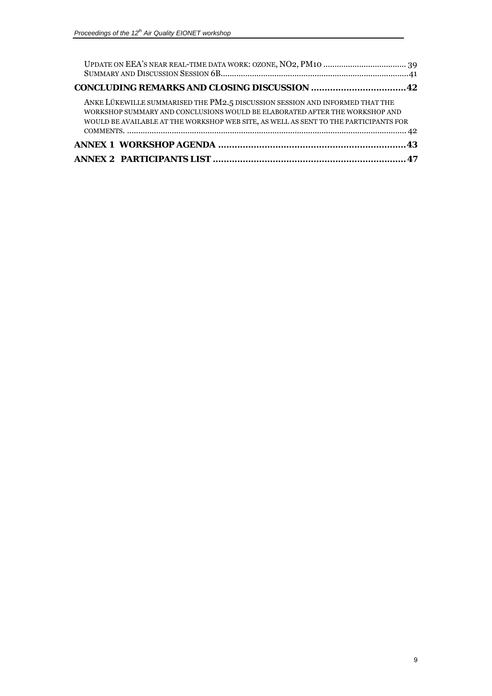| ANKE LÜKEWILLE SUMMARISED THE PM2.5 DISCUSSION SESSION AND INFORMED THAT THE<br>WORKSHOP SUMMARY AND CONCLUSIONS WOULD BE ELABORATED AFTER THE WORKSHOP AND<br>WOULD BE AVAILABLE AT THE WORKSHOP WEB SITE, AS WELL AS SENT TO THE PARTICIPANTS FOR |  |
|-----------------------------------------------------------------------------------------------------------------------------------------------------------------------------------------------------------------------------------------------------|--|
|                                                                                                                                                                                                                                                     |  |
|                                                                                                                                                                                                                                                     |  |
|                                                                                                                                                                                                                                                     |  |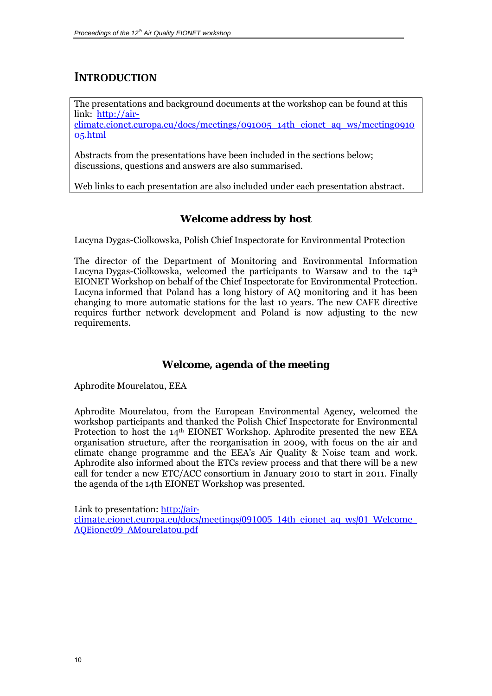# <span id="page-9-0"></span>**INTRODUCTION**

The presentations and background documents at the workshop can be found at this link: [http://air-](http://air-climate.eionet.europa.eu/docs/meetings/091005_14th_eionet_aq_ws/meeting091005.html)

[climate.eionet.europa.eu/docs/meetings/091005\\_14th\\_eionet\\_aq\\_ws/meeting0910](http://air-climate.eionet.europa.eu/docs/meetings/091005_14th_eionet_aq_ws/meeting091005.html) [05.html](http://air-climate.eionet.europa.eu/docs/meetings/091005_14th_eionet_aq_ws/meeting091005.html)

Abstracts from the presentations have been included in the sections below; discussions, questions and answers are also summarised.

Web links to each presentation are also included under each presentation abstract.

# *Welcome address by host*

Lucyna Dygas-Ciolkowska, Polish Chief Inspectorate for Environmental Protection

The director of the Department of Monitoring and Environmental Information Lucyna Dygas-Ciolkowska, welcomed the participants to Warsaw and to the  $14<sup>th</sup>$ EIONET Workshop on behalf of the Chief Inspectorate for Environmental Protection. Lucyna informed that Poland has a long history of AQ monitoring and it has been changing to more automatic stations for the last 10 years. The new CAFE directive requires further network development and Poland is now adjusting to the new requirements.

# *Welcome, agenda of the meeting*

Aphrodite Mourelatou, EEA

Aphrodite Mourelatou, from the European Environmental Agency, welcomed the workshop participants and thanked the Polish Chief Inspectorate for Environmental Protection to host the 14th EIONET Workshop. Aphrodite presented the new EEA organisation structure, after the reorganisation in 2009, with focus on the air and climate change programme and the EEA's Air Quality & Noise team and work. Aphrodite also informed about the ETCs review process and that there will be a new call for tender a new ETC/ACC consortium in January 2010 to start in 2011. Finally the agenda of the 14th EIONET Workshop was presented.

Link to presentation: [http://air-](http://air-climate.eionet.europa.eu/docs/meetings/091005_14th_eionet_aq_ws/01_Welcome_AQEionet09_AMourelatou.pdf)

[climate.eionet.europa.eu/docs/meetings/091005\\_14th\\_eionet\\_aq\\_ws/01\\_Welcome\\_](http://air-climate.eionet.europa.eu/docs/meetings/091005_14th_eionet_aq_ws/01_Welcome_AQEionet09_AMourelatou.pdf) [AQEionet09\\_AMourelatou.pdf](http://air-climate.eionet.europa.eu/docs/meetings/091005_14th_eionet_aq_ws/01_Welcome_AQEionet09_AMourelatou.pdf)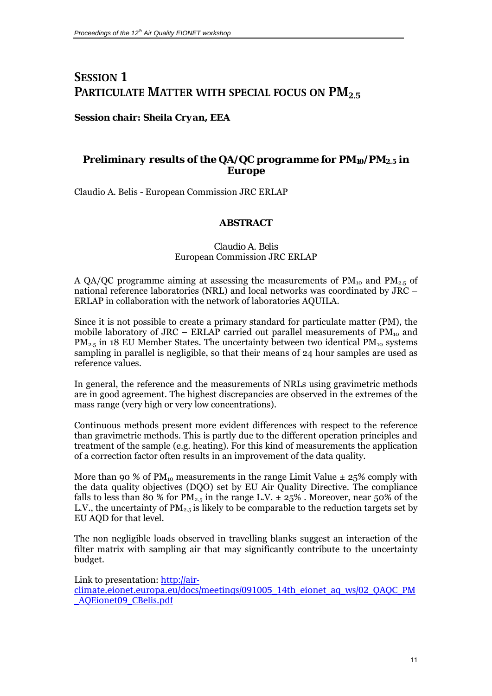# <span id="page-10-0"></span>**SESSION 1 PARTICULATE MATTER WITH SPECIAL FOCUS ON PM2.5**

### *Session chair: Sheila Cryan, EEA*

# *Preliminary results of the QA/QC programme for PM10/PM2.5 in Europe*

Claudio A. Belis - European Commission JRC ERLAP

### **ABSTRACT**

#### *Claudio A. Belis*  European Commission JRC ERLAP

A QA/QC programme aiming at assessing the measurements of  $PM_{10}$  and  $PM_{2.5}$  of national reference laboratories (NRL) and local networks was coordinated by JRC – ERLAP in collaboration with the network of laboratories AQUILA.

Since it is not possible to create a primary standard for particulate matter (PM), the mobile laboratory of JRC – ERLAP carried out parallel measurements of  $PM_{10}$  and  $PM_{2.5}$  in 18 EU Member States. The uncertainty between two identical  $PM_{10}$  systems sampling in parallel is negligible, so that their means of 24 hour samples are used as reference values.

In general, the reference and the measurements of NRLs using gravimetric methods are in good agreement. The highest discrepancies are observed in the extremes of the mass range (very high or very low concentrations).

Continuous methods present more evident differences with respect to the reference than gravimetric methods. This is partly due to the different operation principles and treatment of the sample (e.g. heating). For this kind of measurements the application of a correction factor often results in an improvement of the data quality.

More than 90 % of PM<sub>10</sub> measurements in the range Limit Value  $\pm$  25% comply with the data quality objectives (DQO) set by EU Air Quality Directive. The compliance falls to less than 80 % for  $PM_{2.5}$  in the range L.V.  $\pm 25\%$  . Moreover, near 50% of the L.V., the uncertainty of  $PM_{2.5}$  is likely to be comparable to the reduction targets set by EU AQD for that level.

The non negligible loads observed in travelling blanks suggest an interaction of the filter matrix with sampling air that may significantly contribute to the uncertainty budget.

Link to presentation: [http://air](http://air-climate.eionet.europa.eu/docs/meetings/091005_14th_eionet_aq_ws/02_QAQC_PM_AQEionet09_CBelis.pdf)[climate.eionet.europa.eu/docs/meetings/091005\\_14th\\_eionet\\_aq\\_ws/02\\_QAQC\\_PM](http://air-climate.eionet.europa.eu/docs/meetings/091005_14th_eionet_aq_ws/02_QAQC_PM_AQEionet09_CBelis.pdf) [\\_AQEionet09\\_CBelis.pdf](http://air-climate.eionet.europa.eu/docs/meetings/091005_14th_eionet_aq_ws/02_QAQC_PM_AQEionet09_CBelis.pdf)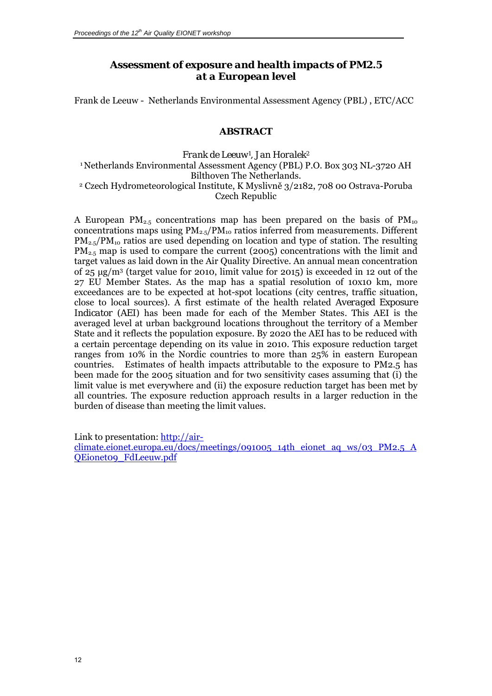# *Assessment of exposure and health impacts of PM2.5 at a European level*

<span id="page-11-0"></span>Frank de Leeuw - Netherlands Environmental Assessment Agency (PBL) , ETC/ACC

### **ABSTRACT**

*Frank de Leeuw1 , Jan Horalek2*  <sup>1</sup> Netherlands Environmental Assessment Agency (PBL) P.O. Box 303 NL-3720 AH Bilthoven The Netherlands.<br>2 Czech Hydrometeorological Institute, K Myslivně 3/2182, 708 00 Ostrava-Poruba Czech Republic

A European PM<sub>2.5</sub> concentrations map has been prepared on the basis of PM<sub>10</sub> concentrations maps using  $PM_{2.5}/PM_{10}$  ratios inferred from measurements. Different  $PM_{2.5}/PM_{10}$  ratios are used depending on location and type of station. The resulting  $PM_{2.5}$  map is used to compare the current (2005) concentrations with the limit and target values as laid down in the Air Quality Directive. An annual mean concentration of 25 μg/m3 (target value for 2010, limit value for 2015) is exceeded in 12 out of the 27 EU Member States. As the map has a spatial resolution of 10x10 km, more exceedances are to be expected at hot-spot locations (city centres, traffic situation, close to local sources). A first estimate of the health related *Averaged Exposure Indicator (AEI)* has been made for each of the Member States*.* This AEI is the averaged level at urban background locations throughout the territory of a Member State and it reflects the population exposure. By 2020 the AEI has to be reduced with a certain percentage depending on its value in 2010. This exposure reduction target ranges from 10% in the Nordic countries to more than 25% in eastern European countries. Estimates of health impacts attributable to the exposure to PM2.5 has been made for the 2005 situation and for two sensitivity cases assuming that (i) the limit value is met everywhere and (ii) the exposure reduction target has been met by all countries. The exposure reduction approach results in a larger reduction in the burden of disease than meeting the limit values.

Link to presentation: [http://air-](http://air-climate.eionet.europa.eu/docs/meetings/091005_14th_eionet_aq_ws/03_PM2.5_AQEionet09_FdLeeuw.pdf)

[climate.eionet.europa.eu/docs/meetings/091005\\_14th\\_eionet\\_aq\\_ws/03\\_PM2.5\\_A](http://air-climate.eionet.europa.eu/docs/meetings/091005_14th_eionet_aq_ws/03_PM2.5_AQEionet09_FdLeeuw.pdf) [QEionet09\\_FdLeeuw.pdf](http://air-climate.eionet.europa.eu/docs/meetings/091005_14th_eionet_aq_ws/03_PM2.5_AQEionet09_FdLeeuw.pdf)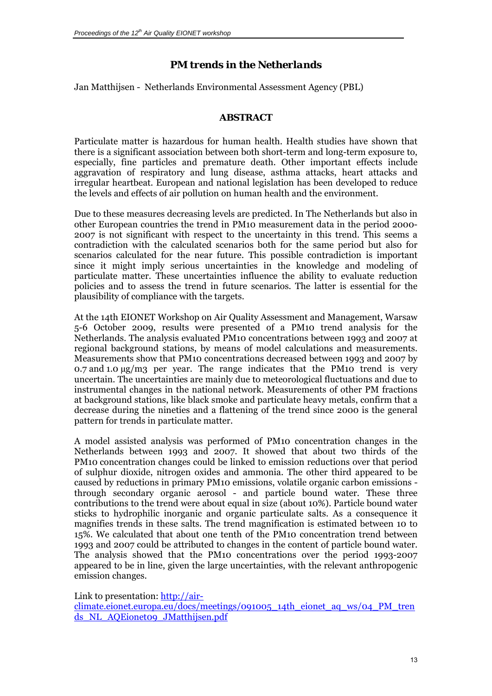# *PM trends in the Netherlands*

<span id="page-12-0"></span>Jan Matthijsen - Netherlands Environmental Assessment Agency (PBL)

### **ABSTRACT**

Particulate matter is hazardous for human health. Health studies have shown that there is a significant association between both short-term and long-term exposure to, especially, fine particles and premature death. Other important effects include aggravation of respiratory and lung disease, asthma attacks, heart attacks and irregular heartbeat. European and national legislation has been developed to reduce the levels and effects of air pollution on human health and the environment.

Due to these measures decreasing levels are predicted. In The Netherlands but also in other European countries the trend in PM10 measurement data in the period 2000- 2007 is not significant with respect to the uncertainty in this trend. This seems a contradiction with the calculated scenarios both for the same period but also for scenarios calculated for the near future. This possible contradiction is important since it might imply serious uncertainties in the knowledge and modeling of particulate matter. These uncertainties influence the ability to evaluate reduction policies and to assess the trend in future scenarios. The latter is essential for the plausibility of compliance with the targets.

At the 14th EIONET Workshop on Air Quality Assessment and Management, Warsaw 5-6 October 2009, results were presented of a PM10 trend analysis for the Netherlands. The analysis evaluated PM10 concentrations between 1993 and 2007 at regional background stations, by means of model calculations and measurements. Measurements show that PM10 concentrations decreased between 1993 and 2007 by 0.7 and 1.0  $\mu$ g/m<sub>3</sub> per year. The range indicates that the PM10 trend is very uncertain. The uncertainties are mainly due to meteorological fluctuations and due to instrumental changes in the national network. Measurements of other PM fractions at background stations, like black smoke and particulate heavy metals, confirm that a decrease during the nineties and a flattening of the trend since 2000 is the general pattern for trends in particulate matter.

A model assisted analysis was performed of PM10 concentration changes in the Netherlands between 1993 and 2007. It showed that about two thirds of the PM10 concentration changes could be linked to emission reductions over that period of sulphur dioxide, nitrogen oxides and ammonia. The other third appeared to be caused by reductions in primary PM10 emissions, volatile organic carbon emissions through secondary organic aerosol - and particle bound water. These three contributions to the trend were about equal in size (about 10%). Particle bound water sticks to hydrophilic inorganic and organic particulate salts. As a consequence it magnifies trends in these salts. The trend magnification is estimated between 10 to 15%. We calculated that about one tenth of the PM10 concentration trend between 1993 and 2007 could be attributed to changes in the content of particle bound water. The analysis showed that the PM10 concentrations over the period 1993-2007 appeared to be in line, given the large uncertainties, with the relevant anthropogenic emission changes.

Link to presentation: [http://air-](http://air-climate.eionet.europa.eu/docs/meetings/091005_14th_eionet_aq_ws/04_PM_trends_NL_AQEionet09_JMatthijsen.pdf)

[climate.eionet.europa.eu/docs/meetings/091005\\_14th\\_eionet\\_aq\\_ws/04\\_PM\\_tren](http://air-climate.eionet.europa.eu/docs/meetings/091005_14th_eionet_aq_ws/04_PM_trends_NL_AQEionet09_JMatthijsen.pdf) [ds\\_NL\\_AQEionet09\\_JMatthijsen.pdf](http://air-climate.eionet.europa.eu/docs/meetings/091005_14th_eionet_aq_ws/04_PM_trends_NL_AQEionet09_JMatthijsen.pdf)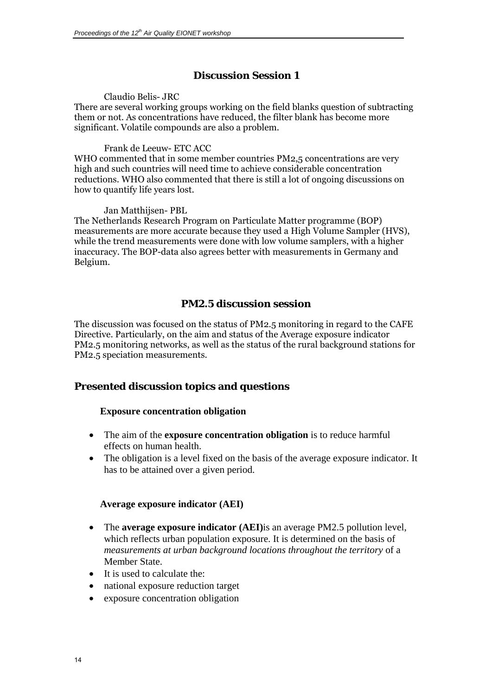# *Discussion Session 1*

#### Claudio Belis- JRC

<span id="page-13-0"></span>There are several working groups working on the field blanks question of subtracting them or not. As concentrations have reduced, the filter blank has become more significant. Volatile compounds are also a problem.

#### Frank de Leeuw- ETC ACC

WHO commented that in some member countries PM2,5 concentrations are very high and such countries will need time to achieve considerable concentration reductions. WHO also commented that there is still a lot of ongoing discussions on how to quantify life years lost.

#### Jan Matthijsen- PBL

The Netherlands Research Program on Particulate Matter programme (BOP) measurements are more accurate because they used a High Volume Sampler (HVS), while the trend measurements were done with low volume samplers, with a higher inaccuracy. The BOP-data also agrees better with measurements in Germany and Belgium.

# *PM2.5 discussion session*

The discussion was focused on the status of PM2.5 monitoring in regard to the CAFE Directive. Particularly, on the aim and status of the Average exposure indicator PM2.5 monitoring networks, as well as the status of the rural background stations for PM2.5 speciation measurements.

# **Presented discussion topics and questions**

#### **Exposure concentration obligation**

- The aim of the **exposure concentration obligation** is to reduce harmful effects on human health.
- The obligation is a level fixed on the basis of the average exposure indicator. It has to be attained over a given period.

### **Average exposure indicator (AEI)**

- The **average exposure indicator (AEI)**is an average PM2.5 pollution level, which reflects urban population exposure. It is determined on the basis of *measurements at urban background locations throughout the territory* of a Member State.
- It is used to calculate the:
- national exposure reduction target
- exposure concentration obligation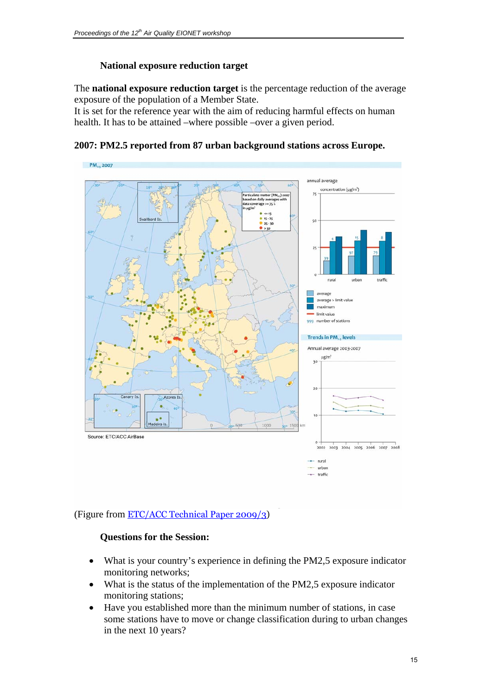## **National exposure reduction target**

The **national exposure reduction target** is the percentage reduction of the average exposure of the population of a Member State.

It is set for the reference year with the aim of reducing harmful effects on human health. It has to be attained –where possible –over a given period.





### (Figure from [ETC/ACC Technical Paper 2009/3\)](http://air-climate.eionet.europa.eu/docs/ETCACC_TP_2009_3_eoi2008_2007aqdata.pdf)

### **Questions for the Session:**

- What is your country's experience in defining the PM2,5 exposure indicator monitoring networks;
- What is the status of the implementation of the PM2,5 exposure indicator monitoring stations;
- Have you established more than the minimum number of stations, in case some stations have to move or change classification during to urban changes in the next 10 years?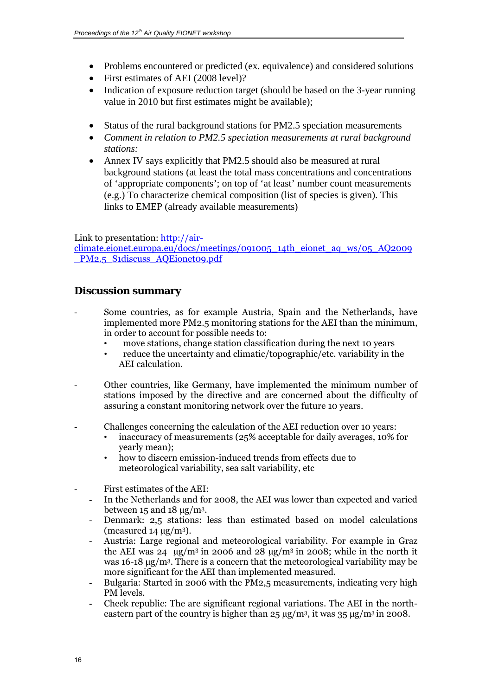- Problems encountered or predicted (ex. equivalence) and considered solutions
- First estimates of AEI (2008 level)?
- Indication of exposure reduction target (should be based on the 3-year running value in 2010 but first estimates might be available);
- Status of the rural background stations for PM2.5 speciation measurements
- *Comment in relation to PM2.5 speciation measurements at rural background stations:*
- Annex IV says explicitly that PM2.5 should also be measured at rural background stations (at least the total mass concentrations and concentrations of 'appropriate components'; on top of 'at least' number count measurements (e.g.) To characterize chemical composition (list of species is given). This links to EMEP (already available measurements)

Link to presentation: [http://air-](http://air-climate.eionet.europa.eu/docs/meetings/091005_14th_eionet_aq_ws/05_AQ2009_PM2.5_S1discuss_AQEionet09.pdf)

[climate.eionet.europa.eu/docs/meetings/091005\\_14th\\_eionet\\_aq\\_ws/05\\_AQ2009](http://air-climate.eionet.europa.eu/docs/meetings/091005_14th_eionet_aq_ws/05_AQ2009_PM2.5_S1discuss_AQEionet09.pdf) [\\_PM2.5\\_S1discuss\\_AQEionet09.pdf](http://air-climate.eionet.europa.eu/docs/meetings/091005_14th_eionet_aq_ws/05_AQ2009_PM2.5_S1discuss_AQEionet09.pdf)

# **Discussion summary**

- Some countries, as for example Austria, Spain and the Netherlands, have implemented more PM2.5 monitoring stations for the AEI than the minimum, in order to account for possible needs to:
	- move stations, change station classification during the next 10 years
	- reduce the uncertainty and climatic/topographic/etc. variability in the AEI calculation.
- Other countries, like Germany, have implemented the minimum number of stations imposed by the directive and are concerned about the difficulty of assuring a constant monitoring network over the future 10 years.
- Challenges concerning the calculation of the AEI reduction over 10 years:
	- inaccuracy of measurements (25% acceptable for daily averages, 10% for yearly mean);
	- how to discern emission-induced trends from effects due to meteorological variability, sea salt variability, etc
- First estimates of the AEI:
	- In the Netherlands and for 2008, the AEI was lower than expected and varied between  $15$  and  $18 \mu g/m^3$ .
	- Denmark: 2,5 stations: less than estimated based on model calculations (measured  $14 \mu g/m^3$ ).
	- Austria: Large regional and meteorological variability. For example in Graz the AEI was 24  $\mu$ g/m<sup>3</sup> in 2006 and 28  $\mu$ g/m<sup>3</sup> in 2008; while in the north it was 16-18 µg/m3. There is a concern that the meteorological variability may be more significant for the AEI than implemented measured.
	- Bulgaria: Started in 2006 with the PM2,5 measurements, indicating very high PM levels.
	- Check republic: The are significant regional variations. The AEI in the northeastern part of the country is higher than  $25 \mu g/m^3$ , it was  $35 \mu g/m^3$  in 2008.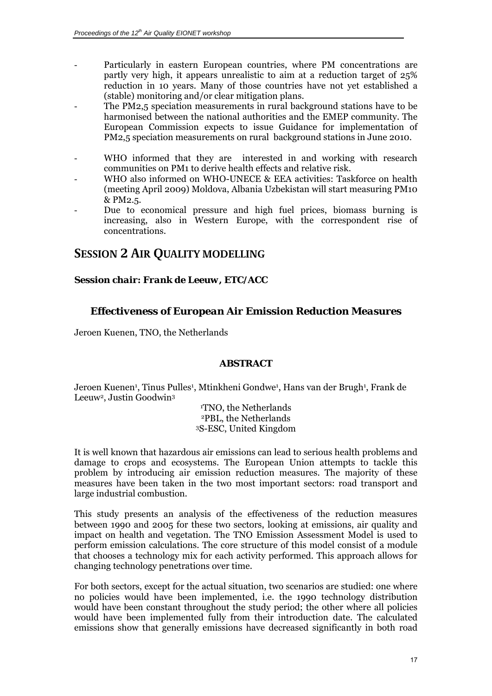- <span id="page-16-0"></span>Particularly in eastern European countries, where PM concentrations are partly very high, it appears unrealistic to aim at a reduction target of 25% reduction in 10 years. Many of those countries have not yet established a (stable) monitoring and/or clear mitigation plans.
- The PM2,5 speciation measurements in rural background stations have to be harmonised between the national authorities and the EMEP community. The European Commission expects to issue Guidance for implementation of PM2,5 speciation measurements on rural background stations in June 2010.
- WHO informed that they are interested in and working with research communities on PM1 to derive health effects and relative risk.
- WHO also informed on WHO-UNECE & EEA activities: Taskforce on health (meeting April 2009) Moldova, Albania Uzbekistan will start measuring PM10 & PM2.5.
- Due to economical pressure and high fuel prices, biomass burning is increasing, also in Western Europe, with the correspondent rise of concentrations.

# **SESSION 2 AIR QUALITY MODELLING**

### *Session chair: Frank de Leeuw, ETC/ACC*

# *Effectiveness of European Air Emission Reduction Measures*

Jeroen Kuenen, TNO, the Netherlands

### **ABSTRACT**

Jeroen Kuenen<sup>1</sup>, Tinus Pulles<sup>1</sup>, Mtinkheni Gondwe<sup>1</sup>, Hans van der Brugh<sup>1</sup>, Frank de Leeuw<sup>2</sup>, Justin Goodwin<sup>3</sup>

> TNO, the Netherlands 2PBL, the Netherlands 3S-ESC, United Kingdom

It is well known that hazardous air emissions can lead to serious health problems and damage to crops and ecosystems. The European Union attempts to tackle this problem by introducing air emission reduction measures. The majority of these measures have been taken in the two most important sectors: road transport and large industrial combustion.

This study presents an analysis of the effectiveness of the reduction measures between 1990 and 2005 for these two sectors, looking at emissions, air quality and impact on health and vegetation. The TNO Emission Assessment Model is used to perform emission calculations. The core structure of this model consist of a module that chooses a technology mix for each activity performed. This approach allows for changing technology penetrations over time.

For both sectors, except for the actual situation, two scenarios are studied: one where no policies would have been implemented, i.e. the 1990 technology distribution would have been constant throughout the study period; the other where all policies would have been implemented fully from their introduction date. The calculated emissions show that generally emissions have decreased significantly in both road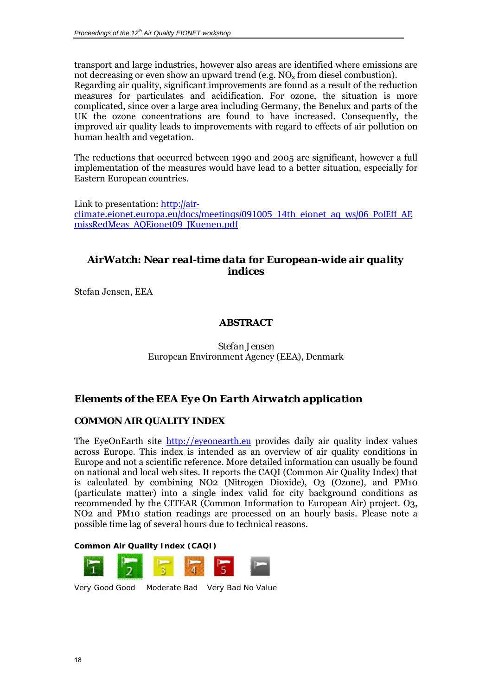<span id="page-17-0"></span>transport and large industries, however also areas are identified where emissions are not decreasing or even show an upward trend (e.g.  $NO<sub>x</sub>$  from diesel combustion).

Regarding air quality, significant improvements are found as a result of the reduction measures for particulates and acidification. For ozone, the situation is more complicated, since over a large area including Germany, the Benelux and parts of the UK the ozone concentrations are found to have increased. Consequently, the improved air quality leads to improvements with regard to effects of air pollution on human health and vegetation.

The reductions that occurred between 1990 and 2005 are significant, however a full implementation of the measures would have lead to a better situation, especially for Eastern European countries.

Link to presentation: [http://air](http://air-climate.eionet.europa.eu/docs/meetings/091005_14th_eionet_aq_ws/06_PolEff_AEmissRedMeas_AQEionet09_JKuenen.pdf)[climate.eionet.europa.eu/docs/meetings/091005\\_14th\\_eionet\\_aq\\_ws/06\\_PolEff\\_AE](http://air-climate.eionet.europa.eu/docs/meetings/091005_14th_eionet_aq_ws/06_PolEff_AEmissRedMeas_AQEionet09_JKuenen.pdf) [missRedMeas\\_AQEionet09\\_JKuenen.pdf](http://air-climate.eionet.europa.eu/docs/meetings/091005_14th_eionet_aq_ws/06_PolEff_AEmissRedMeas_AQEionet09_JKuenen.pdf)

# *AirWatch: Near real-time data for European-wide air quality indices*

Stefan Jensen, EEA

### **ABSTRACT**

*Stefan Jensen*  European Environment Agency (EEA), Denmark

# *Elements of the EEA Eye On Earth Airwatch application*

### *COMMON AIR QUALITY INDEX*

The EyeOnEarth site [http://eyeonearth.eu](http://eyeonearth.eu/) provides daily air quality index values across Europe. This index is intended as an overview of air quality conditions in Europe and not a scientific reference. More detailed information can usually be found on national and local web sites. It reports the CAQI (Common Air Quality Index) that is calculated by combining NO2 (Nitrogen Dioxide), O3 (Ozone), and PM10 (particulate matter) into a single index valid for city background conditions as recommended by the CITEAR (Common Information to European Air) project. O3, NO2 and PM10 station readings are processed on an hourly basis. Please note a possible time lag of several hours due to technical reasons.

#### **Common Air Quality Index (CAQI)**



Very Good Good Moderate Bad Very Bad No Value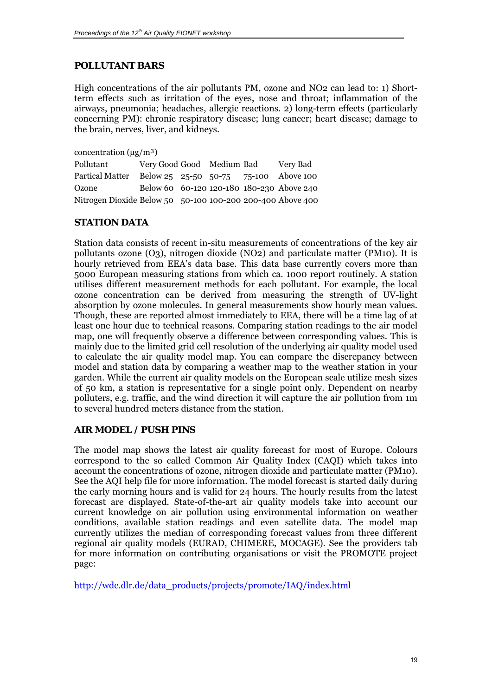# <span id="page-18-0"></span>*POLLUTANT BARS*

High concentrations of the air pollutants PM, ozone and NO2 can lead to: 1) Shortterm effects such as irritation of the eyes, nose and throat; inflammation of the airways, pneumonia; headaches, allergic reactions. 2) long-term effects (particularly concerning PM): chronic respiratory disease; lung cancer; heart disease; damage to the brain, nerves, liver, and kidneys.

concentration  $(\mu g/m^3)$ 

| Pollutant                                                  | Very Good Good Medium Bad |  | Very Bad                                  |
|------------------------------------------------------------|---------------------------|--|-------------------------------------------|
| Partical Matter                                            |                           |  | Below 25 25-50 50-75 75-100 Above 100     |
| Ozone                                                      |                           |  | Below 60 60-120 120-180 180-230 Above 240 |
| Nitrogen Dioxide Below 50 50-100 100-200 200-400 Above 400 |                           |  |                                           |

# *STATION DATA*

Station data consists of recent in-situ measurements of concentrations of the key air pollutants ozone (O3), nitrogen dioxide (NO2) and particulate matter (PM10). It is hourly retrieved from EEA's data base. This data base currently covers more than 5000 European measuring stations from which ca. 1000 report routinely. A station utilises different measurement methods for each pollutant. For example, the local ozone concentration can be derived from measuring the strength of UV-light absorption by ozone molecules. In general measurements show hourly mean values. Though, these are reported almost immediately to EEA, there will be a time lag of at least one hour due to technical reasons. Comparing station readings to the air model map, one will frequently observe a difference between corresponding values. This is mainly due to the limited grid cell resolution of the underlying air quality model used to calculate the air quality model map. You can compare the discrepancy between model and station data by comparing a weather map to the weather station in your garden. While the current air quality models on the European scale utilize mesh sizes of 50 km, a station is representative for a single point only. Dependent on nearby polluters, e.g. traffic, and the wind direction it will capture the air pollution from 1m to several hundred meters distance from the station.

# *AIR MODEL / PUSH PINS*

The model map shows the latest air quality forecast for most of Europe. Colours correspond to the so called Common Air Quality Index (CAQI) which takes into account the concentrations of ozone, nitrogen dioxide and particulate matter (PM10). See the AQI help file for more information. The model forecast is started daily during the early morning hours and is valid for 24 hours. The hourly results from the latest forecast are displayed. State-of-the-art air quality models take into account our current knowledge on air pollution using environmental information on weather conditions, available station readings and even satellite data. The model map currently utilizes the median of corresponding forecast values from three different regional air quality models (EURAD, CHIMERE, MOCAGE). See the providers tab for more information on contributing organisations or visit the PROMOTE project page:

[http://wdc.dlr.de/data\\_products/projects/promote/IAQ/index.html](http://wdc.dlr.de/data_products/projects/promote/IAQ/index.html)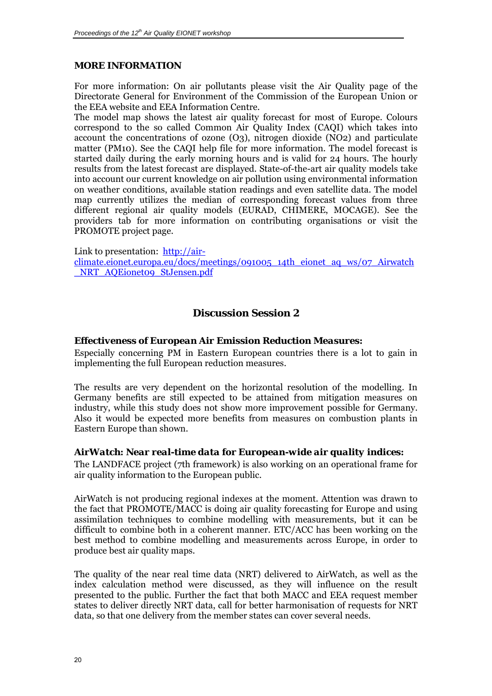### <span id="page-19-0"></span>*MORE INFORMATION*

For more information: On air pollutants please visit the Air Quality page of the Directorate General for Environment of the Commission of the European Union or the EEA website and EEA Information Centre.

The model map shows the latest air quality forecast for most of Europe. Colours correspond to the so called Common Air Quality Index (CAQI) which takes into account the concentrations of ozone (O3), nitrogen dioxide (NO2) and particulate matter (PM10). See the CAQI help file for more information. The model forecast is started daily during the early morning hours and is valid for 24 hours. The hourly results from the latest forecast are displayed. State-of-the-art air quality models take into account our current knowledge on air pollution using environmental information on weather conditions, available station readings and even satellite data. The model map currently utilizes the median of corresponding forecast values from three different regional air quality models (EURAD, CHIMERE, MOCAGE). See the providers tab for more information on contributing organisations or visit the PROMOTE project page.

Link to presentation: [http://air](http://air-climate.eionet.europa.eu/docs/meetings/091005_14th_eionet_aq_ws/07_Airwatch_NRT_AQEionet09_StJensen.pdf)[climate.eionet.europa.eu/docs/meetings/091005\\_14th\\_eionet\\_aq\\_ws/07\\_Airwatch](http://air-climate.eionet.europa.eu/docs/meetings/091005_14th_eionet_aq_ws/07_Airwatch_NRT_AQEionet09_StJensen.pdf) [\\_NRT\\_AQEionet09\\_StJensen.pdf](http://air-climate.eionet.europa.eu/docs/meetings/091005_14th_eionet_aq_ws/07_Airwatch_NRT_AQEionet09_StJensen.pdf)

# *Discussion Session 2*

### *Effectiveness of European Air Emission Reduction Measures:*

Especially concerning PM in Eastern European countries there is a lot to gain in implementing the full European reduction measures.

The results are very dependent on the horizontal resolution of the modelling. In Germany benefits are still expected to be attained from mitigation measures on industry, while this study does not show more improvement possible for Germany. Also it would be expected more benefits from measures on combustion plants in Eastern Europe than shown.

### *AirWatch: Near real-time data for European-wide air quality indices:*

The LANDFACE project (7th framework) is also working on an operational frame for air quality information to the European public.

AirWatch is not producing regional indexes at the moment. Attention was drawn to the fact that PROMOTE/MACC is doing air quality forecasting for Europe and using assimilation techniques to combine modelling with measurements, but it can be difficult to combine both in a coherent manner. ETC/ACC has been working on the best method to combine modelling and measurements across Europe, in order to produce best air quality maps.

The quality of the near real time data (NRT) delivered to AirWatch, as well as the index calculation method were discussed, as they will influence on the result presented to the public. Further the fact that both MACC and EEA request member states to deliver directly NRT data, call for better harmonisation of requests for NRT data, so that one delivery from the member states can cover several needs.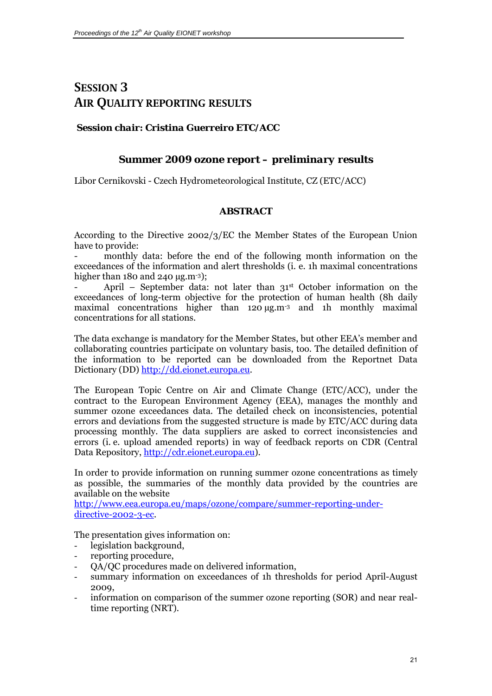# <span id="page-20-0"></span>**SESSION 3 AIR QUALITY REPORTING RESULTS**

## *Session chair: Cristina Guerreiro ETC/ACC*

### *Summer 2009 ozone report – preliminary results*

Libor Cernikovski - Czech Hydrometeorological Institute, CZ (ETC/ACC)

### **ABSTRACT**

According to the Directive 2002/3/EC the Member States of the European Union have to provide:

monthly data: before the end of the following month information on the exceedances of the information and alert thresholds (i. e. 1h maximal concentrations higher than 180 and 240  $\mu$ g.m<sup>-3</sup>):

April – September data: not later than  $31<sup>st</sup>$  October information on the exceedances of long-term objective for the protection of human health (8h daily maximal concentrations higher than 120  $\mu$ g.m<sup>-3</sup> and 1h monthly maximal concentrations for all stations.

The data exchange is mandatory for the Member States, but other EEA's member and collaborating countries participate on voluntary basis, too. The detailed definition of the information to be reported can be downloaded from the Reportnet Data Dictionary (DD) [http://dd.eionet.europa.eu](http://dd.eionet.europa.eu/).

The European Topic Centre on Air and Climate Change (ETC/ACC), under the contract to the European Environment Agency (EEA), manages the monthly and summer ozone exceedances data. The detailed check on inconsistencies, potential errors and deviations from the suggested structure is made by ETC/ACC during data processing monthly. The data suppliers are asked to correct inconsistencies and errors (i. e. upload amended reports) in way of feedback reports on CDR (Central Data Repository, [http://cdr.eionet.europa.eu](http://cdr.eionet.europa.eu/)).

In order to provide information on running summer ozone concentrations as timely as possible, the summaries of the monthly data provided by the countries are available on the website

[http://www.eea.europa.eu/maps/ozone/compare/summer-reporting-under](http://www.eea.europa.eu/maps/ozone/compare/summer-reporting-under-directive-2002-3-ec)[directive-2002-3-ec.](http://www.eea.europa.eu/maps/ozone/compare/summer-reporting-under-directive-2002-3-ec)

The presentation gives information on:

- legislation background,
- reporting procedure,
- QA/QC procedures made on delivered information,
- summary information on exceedances of 1h thresholds for period April-August 2009,
- information on comparison of the summer ozone reporting (SOR) and near realtime reporting (NRT).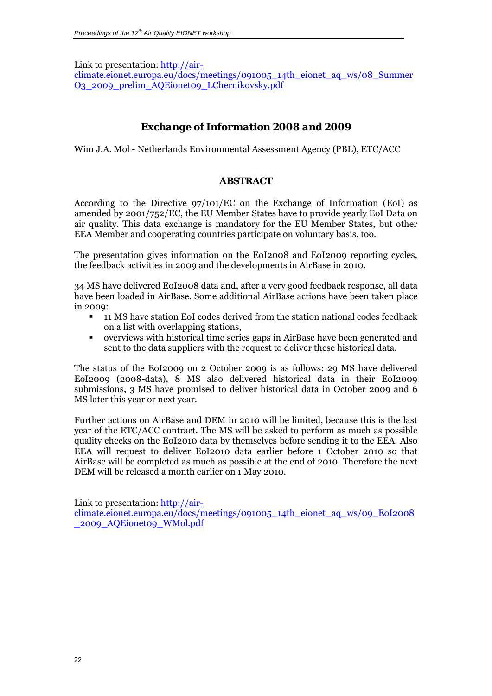<span id="page-21-0"></span>Link to presentation: [http://air-](http://air-climate.eionet.europa.eu/docs/meetings/091005_14th_eionet_aq_ws/08_SummerO3_2009_prelim_AQEionet09_LChernikovsky.pdf)

[climate.eionet.europa.eu/docs/meetings/091005\\_14th\\_eionet\\_aq\\_ws/08\\_Summer](http://air-climate.eionet.europa.eu/docs/meetings/091005_14th_eionet_aq_ws/08_SummerO3_2009_prelim_AQEionet09_LChernikovsky.pdf) [O3\\_2009\\_prelim\\_AQEionet09\\_LChernikovsky.pdf](http://air-climate.eionet.europa.eu/docs/meetings/091005_14th_eionet_aq_ws/08_SummerO3_2009_prelim_AQEionet09_LChernikovsky.pdf)

# *Exchange of Information 2008 and 2009*

Wim J.A. Mol - Netherlands Environmental Assessment Agency (PBL), ETC/ACC

### **ABSTRACT**

According to the Directive 97/101/EC on the Exchange of Information (EoI) as amended by 2001/752/EC, the EU Member States have to provide yearly EoI Data on air quality. This data exchange is mandatory for the EU Member States, but other EEA Member and cooperating countries participate on voluntary basis, too.

The presentation gives information on the EoI2008 and EoI2009 reporting cycles, the feedback activities in 2009 and the developments in AirBase in 2010.

34 MS have delivered EoI2008 data and, after a very good feedback response, all data have been loaded in AirBase. Some additional AirBase actions have been taken place in 2009:

- 11 MS have station EoI codes derived from the station national codes feedback on a list with overlapping stations,
- overviews with historical time series gaps in AirBase have been generated and sent to the data suppliers with the request to deliver these historical data.

The status of the EoI2009 on 2 October 2009 is as follows: 29 MS have delivered EoI2009 (2008-data), 8 MS also delivered historical data in their EoI2009 submissions, 3 MS have promised to deliver historical data in October 2009 and 6 MS later this year or next year.

Further actions on AirBase and DEM in 2010 will be limited, because this is the last year of the ETC/ACC contract. The MS will be asked to perform as much as possible quality checks on the EoI2010 data by themselves before sending it to the EEA. Also EEA will request to deliver EoI2010 data earlier before 1 October 2010 so that AirBase will be completed as much as possible at the end of 2010. Therefore the next DEM will be released a month earlier on 1 May 2010.

Link to presentation: [http://air-](http://air-climate.eionet.europa.eu/docs/meetings/091005_14th_eionet_aq_ws/09_EoI2008_2009_AQEionet09_WMol.pdf)

[climate.eionet.europa.eu/docs/meetings/091005\\_14th\\_eionet\\_aq\\_ws/09\\_EoI2008](http://air-climate.eionet.europa.eu/docs/meetings/091005_14th_eionet_aq_ws/09_EoI2008_2009_AQEionet09_WMol.pdf) [\\_2009\\_AQEionet09\\_WMol.pdf](http://air-climate.eionet.europa.eu/docs/meetings/091005_14th_eionet_aq_ws/09_EoI2008_2009_AQEionet09_WMol.pdf)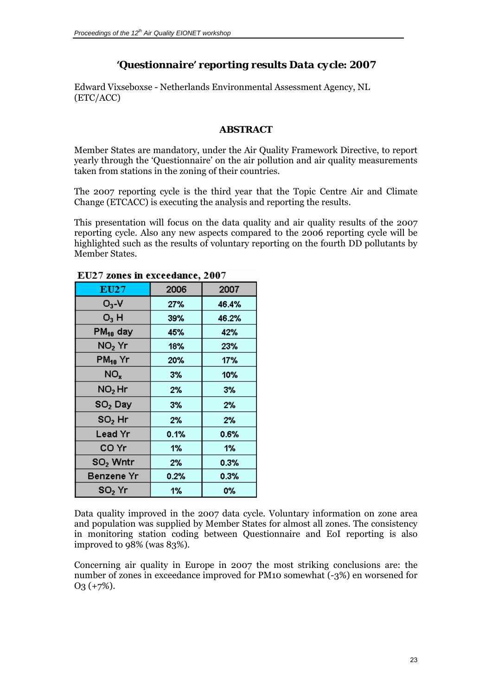# *'Questionnaire' reporting results Data cycle: 2007*

<span id="page-22-0"></span>Edward Vixseboxse - Netherlands Environmental Assessment Agency, NL (ETC/ACC)

### **ABSTRACT**

Member States are mandatory, under the Air Quality Framework Directive, to report yearly through the 'Questionnaire' on the air pollution and air quality measurements taken from stations in the zoning of their countries.

The 2007 reporting cycle is the third year that the Topic Centre Air and Climate Change (ETCACC) is executing the analysis and reporting the results.

This presentation will focus on the data quality and air quality results of the 2007 reporting cycle. Also any new aspects compared to the 2006 reporting cycle will be highlighted such as the results of voluntary reporting on the fourth DD pollutants by Member States.

| EU27                 | 2006 | 2007  |
|----------------------|------|-------|
| $O_3$ -V             | 27%  | 46.4% |
| $O_3$ H              | 39%  | 46.2% |
| PM <sub>10</sub> day | 45%  | 42%   |
| $NO2$ Yr             | 18%  | 23%   |
| $PM_{10}$ Yr         | 20%  | 17%   |
| NO <sub>x</sub>      | 3%   | 10%   |
| $NO2$ Hr             | 2%   | 3%    |
| SO2 Day              | 3%   | 2%    |
| $SO2$ Hr             | 2%   | 2%    |
| <b>Lead Yr</b>       | 0.1% | 0.6%  |
| CO Yr                | 1%   | 1%    |
| SO <sub>2</sub> Wntr | 2%   | 0.3%  |
| <b>Benzene Yr</b>    | 0.2% | 0.3%  |
| SO, Yr               | 1%   | 0%    |

#### EU27 zones in exceedance, 2007

Data quality improved in the 2007 data cycle. Voluntary information on zone area and population was supplied by Member States for almost all zones. The consistency in monitoring station coding between Questionnaire and EoI reporting is also improved to 98% (was 83%).

Concerning air quality in Europe in 2007 the most striking conclusions are: the number of zones in exceedance improved for PM10 somewhat (-3%) en worsened for O3 (+7%).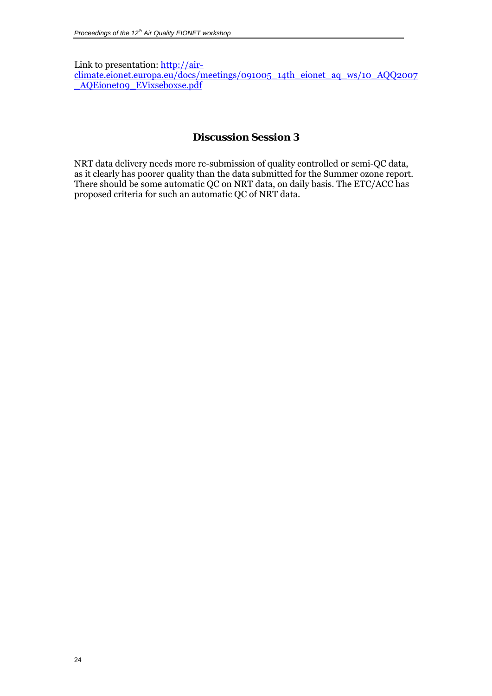<span id="page-23-0"></span>Link to presentation: [http://air](http://air-climate.eionet.europa.eu/docs/meetings/091005_14th_eionet_aq_ws/10_AQQ2007_AQEionet09_EVixseboxse.pdf)[climate.eionet.europa.eu/docs/meetings/091005\\_14th\\_eionet\\_aq\\_ws/10\\_AQQ2007](http://air-climate.eionet.europa.eu/docs/meetings/091005_14th_eionet_aq_ws/10_AQQ2007_AQEionet09_EVixseboxse.pdf) [\\_AQEionet09\\_EVixseboxse.pdf](http://air-climate.eionet.europa.eu/docs/meetings/091005_14th_eionet_aq_ws/10_AQQ2007_AQEionet09_EVixseboxse.pdf)

# *Discussion Session 3*

NRT data delivery needs more re-submission of quality controlled or semi-QC data, as it clearly has poorer quality than the data submitted for the Summer ozone report. There should be some automatic QC on NRT data, on daily basis. The ETC/ACC has proposed criteria for such an automatic QC of NRT data.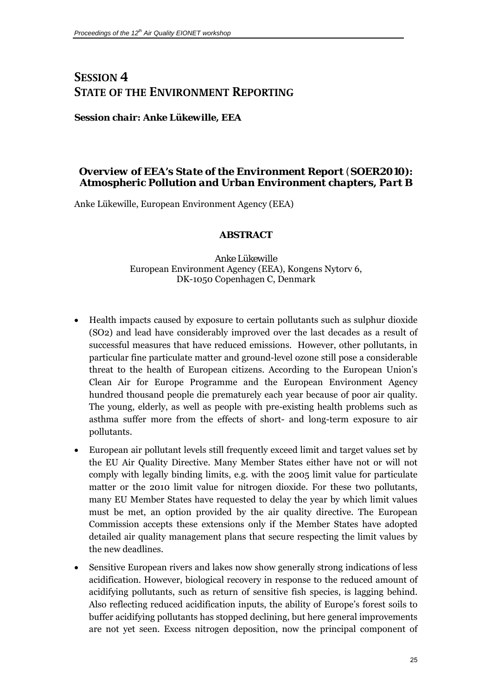# <span id="page-24-0"></span>**SESSION 4 STATE OF THE ENVIRONMENT REPORTING**

*Session chair: Anke Lükewille, EEA* 

# *Overview of EEA's State of the Environment Report (SOER2010): Atmospheric Pollution and Urban Environment chapters, Part B*

Anke Lükewille, European Environment Agency (EEA)

# **ABSTRACT**

*Anke Lükewille*  European Environment Agency (EEA), Kongens Nytorv 6, DK-1050 Copenhagen C, Denmark

- Health impacts caused by exposure to certain pollutants such as sulphur dioxide (SO2) and lead have considerably improved over the last decades as a result of successful measures that have reduced emissions. However, other pollutants, in particular fine particulate matter and ground-level ozone still pose a considerable threat to the health of European citizens. According to the European Union's Clean Air for Europe Programme and the European Environment Agency hundred thousand people die prematurely each year because of poor air quality. The young, elderly, as well as people with pre-existing health problems such as asthma suffer more from the effects of short- and long-term exposure to air pollutants.
- European air pollutant levels still frequently exceed limit and target values set by the EU Air Quality Directive. Many Member States either have not or will not comply with legally binding limits, e.g. with the 2005 limit value for particulate matter or the 2010 limit value for nitrogen dioxide. For these two pollutants, many EU Member States have requested to delay the year by which limit values must be met, an option provided by the air quality directive. The European Commission accepts these extensions only if the Member States have adopted detailed air quality management plans that secure respecting the limit values by the new deadlines.
- Sensitive European rivers and lakes now show generally strong indications of less acidification. However, biological recovery in response to the reduced amount of acidifying pollutants, such as return of sensitive fish species, is lagging behind. Also reflecting reduced acidification inputs, the ability of Europe's forest soils to buffer acidifying pollutants has stopped declining, but here general improvements are not yet seen. Excess nitrogen deposition, now the principal component of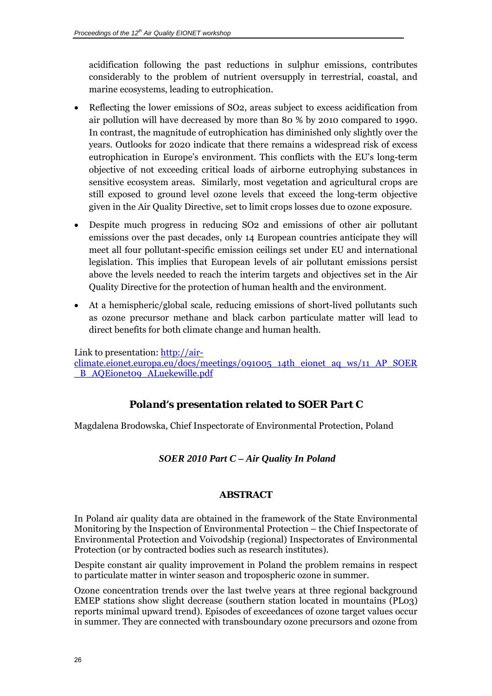<span id="page-25-0"></span>acidification following the past reductions in sulphur emissions, contributes considerably to the problem of nutrient oversupply in terrestrial, coastal, and marine ecosystems, leading to eutrophication.

- Reflecting the lower emissions of SO2, areas subject to excess acidification from air pollution will have decreased by more than 80 % by 2010 compared to 1990. In contrast, the magnitude of eutrophication has diminished only slightly over the years. Outlooks for 2020 indicate that there remains a widespread risk of excess eutrophication in Europe's environment. This conflicts with the EU's long-term objective of not exceeding critical loads of airborne eutrophying substances in sensitive ecosystem areas. Similarly, most vegetation and agricultural crops are still exposed to ground level ozone levels that exceed the long-term objective given in the Air Quality Directive, set to limit crops losses due to ozone exposure.
- Despite much progress in reducing SO2 and emissions of other air pollutant emissions over the past decades, only 14 European countries anticipate they will meet all four pollutant-specific emission ceilings set under EU and international legislation. This implies that European levels of air pollutant emissions persist above the levels needed to reach the interim targets and objectives set in the Air Quality Directive for the protection of human health and the environment.
- At a hemispheric/global scale, reducing emissions of short-lived pollutants such as ozone precursor methane and black carbon particulate matter will lead to direct benefits for both climate change and human health.

Link to presentation: [http://air](http://air-climate.eionet.europa.eu/docs/meetings/091005_14th_eionet_aq_ws/11_AP_SOER_B_AQEionet09_ALuekewille.pdf)[climate.eionet.europa.eu/docs/meetings/091005\\_14th\\_eionet\\_aq\\_ws/11\\_AP\\_SOER](http://air-climate.eionet.europa.eu/docs/meetings/091005_14th_eionet_aq_ws/11_AP_SOER_B_AQEionet09_ALuekewille.pdf) [\\_B\\_AQEionet09\\_ALuekewille.pdf](http://air-climate.eionet.europa.eu/docs/meetings/091005_14th_eionet_aq_ws/11_AP_SOER_B_AQEionet09_ALuekewille.pdf)

# *Poland's presentation related to SOER Part C*

Magdalena Brodowska, Chief Inspectorate of Environmental Protection, Poland

### *SOER 2010 Part C – Air Quality In Poland*

### **ABSTRACT**

In Poland air quality data are obtained in the framework of the State Environmental Monitoring by the Inspection of Environmental Protection – the Chief Inspectorate of Environmental Protection and Voivodship (regional) Inspectorates of Environmental Protection (or by contracted bodies such as research institutes).

Despite constant air quality improvement in Poland the problem remains in respect to particulate matter in winter season and tropospheric ozone in summer.

Ozone concentration trends over the last twelve years at three regional background EMEP stations show slight decrease (southern station located in mountains (PL03) reports minimal upward trend). Episodes of exceedances of ozone target values occur in summer. They are connected with transboundary ozone precursors and ozone from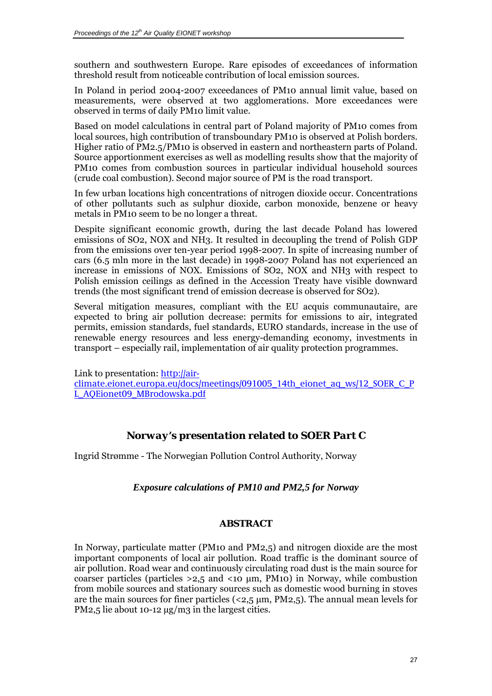<span id="page-26-0"></span>southern and southwestern Europe. Rare episodes of exceedances of information threshold result from noticeable contribution of local emission sources.

In Poland in period 2004-2007 exceedances of PM10 annual limit value, based on measurements, were observed at two agglomerations. More exceedances were observed in terms of daily PM10 limit value.

Based on model calculations in central part of Poland majority of PM10 comes from local sources, high contribution of transboundary PM10 is observed at Polish borders. Higher ratio of PM2.5/PM10 is observed in eastern and northeastern parts of Poland. Source apportionment exercises as well as modelling results show that the majority of PM10 comes from combustion sources in particular individual household sources (crude coal combustion). Second major source of PM is the road transport.

In few urban locations high concentrations of nitrogen dioxide occur. Concentrations of other pollutants such as sulphur dioxide, carbon monoxide, benzene or heavy metals in PM10 seem to be no longer a threat.

Despite significant economic growth, during the last decade Poland has lowered emissions of SO2, NOX and NH3. It resulted in decoupling the trend of Polish GDP from the emissions over ten-year period 1998-2007. In spite of increasing number of cars (6.5 mln more in the last decade) in 1998-2007 Poland has not experienced an increase in emissions of NOX. Emissions of SO2, NOX and NH3 with respect to Polish emission ceilings as defined in the Accession Treaty have visible downward trends (the most significant trend of emission decrease is observed for SO2).

Several mitigation measures, compliant with the EU acquis communautaire, are expected to bring air pollution decrease: permits for emissions to air, integrated permits, emission standards, fuel standards, EURO standards, increase in the use of renewable energy resources and less energy-demanding economy, investments in transport – especially rail, implementation of air quality protection programmes.

Link to presentation: [http://air](http://air-climate.eionet.europa.eu/docs/meetings/091005_14th_eionet_aq_ws/12_SOER_C_PL_AQEionet09_MBrodowska.pdf)[climate.eionet.europa.eu/docs/meetings/091005\\_14th\\_eionet\\_aq\\_ws/12\\_SOER\\_C\\_P](http://air-climate.eionet.europa.eu/docs/meetings/091005_14th_eionet_aq_ws/12_SOER_C_PL_AQEionet09_MBrodowska.pdf) [L\\_AQEionet09\\_MBrodowska.pdf](http://air-climate.eionet.europa.eu/docs/meetings/091005_14th_eionet_aq_ws/12_SOER_C_PL_AQEionet09_MBrodowska.pdf)

# *Norway's presentation related to SOER Part C*

Ingrid Strømme - The Norwegian Pollution Control Authority, Norway

### *Exposure calculations of PM10 and PM2,5 for Norway*

### **ABSTRACT**

In Norway, particulate matter (PM10 and PM2,5) and nitrogen dioxide are the most important components of local air pollution. Road traffic is the dominant source of air pollution. Road wear and continuously circulating road dust is the main source for coarser particles (particles  $>2.5$  and  $<10 \mu$ m, PM10) in Norway, while combustion from mobile sources and stationary sources such as domestic wood burning in stoves are the main sources for finer particles ( $\langle 2,5 \mu m, PM2,5 \rangle$ ). The annual mean levels for PM2,5 lie about 10-12  $\mu$ g/m3 in the largest cities.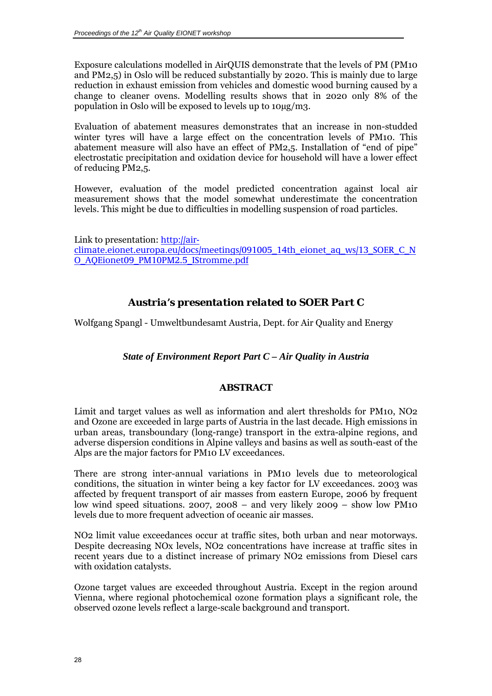<span id="page-27-0"></span>Exposure calculations modelled in AirQUIS demonstrate that the levels of PM (PM10 and PM2,5) in Oslo will be reduced substantially by 2020. This is mainly due to large reduction in exhaust emission from vehicles and domestic wood burning caused by a change to cleaner ovens. Modelling results shows that in 2020 only 8% of the population in Oslo will be exposed to levels up to 10µg/m3.

Evaluation of abatement measures demonstrates that an increase in non-studded winter tyres will have a large effect on the concentration levels of PM10. This abatement measure will also have an effect of PM2,5. Installation of "end of pipe" electrostatic precipitation and oxidation device for household will have a lower effect of reducing PM2,5.

However, evaluation of the model predicted concentration against local air measurement shows that the model somewhat underestimate the concentration levels. This might be due to difficulties in modelling suspension of road particles.

Link to presentation: [http://air](http://air-climate.eionet.europa.eu/docs/meetings/091005_14th_eionet_aq_ws/13_SOER_C_NO_AQEionet09_PM10PM2.5_IStromme.pdf)[climate.eionet.europa.eu/docs/meetings/091005\\_14th\\_eionet\\_aq\\_ws/13\\_SOER\\_C\\_N](http://air-climate.eionet.europa.eu/docs/meetings/091005_14th_eionet_aq_ws/13_SOER_C_NO_AQEionet09_PM10PM2.5_IStromme.pdf) [O\\_AQEionet09\\_PM10PM2.5\\_IStromme.pdf](http://air-climate.eionet.europa.eu/docs/meetings/091005_14th_eionet_aq_ws/13_SOER_C_NO_AQEionet09_PM10PM2.5_IStromme.pdf)

# *Austria's presentation related to SOER Part C*

Wolfgang Spangl - Umweltbundesamt Austria, Dept. for Air Quality and Energy

*State of Environment Report Part C – Air Quality in Austria* 

### **ABSTRACT**

Limit and target values as well as information and alert thresholds for PM10, NO2 and Ozone are exceeded in large parts of Austria in the last decade. High emissions in urban areas, transboundary (long-range) transport in the extra-alpine regions, and adverse dispersion conditions in Alpine valleys and basins as well as south-east of the Alps are the major factors for PM10 LV exceedances.

There are strong inter-annual variations in PM10 levels due to meteorological conditions, the situation in winter being a key factor for LV exceedances. 2003 was affected by frequent transport of air masses from eastern Europe, 2006 by frequent low wind speed situations. 2007, 2008 – and very likely 2009 – show low PM10 levels due to more frequent advection of oceanic air masses.

NO2 limit value exceedances occur at traffic sites, both urban and near motorways. Despite decreasing NOx levels, NO2 concentrations have increase at traffic sites in recent years due to a distinct increase of primary NO2 emissions from Diesel cars with oxidation catalysts.

Ozone target values are exceeded throughout Austria. Except in the region around Vienna, where regional photochemical ozone formation plays a significant role, the observed ozone levels reflect a large-scale background and transport.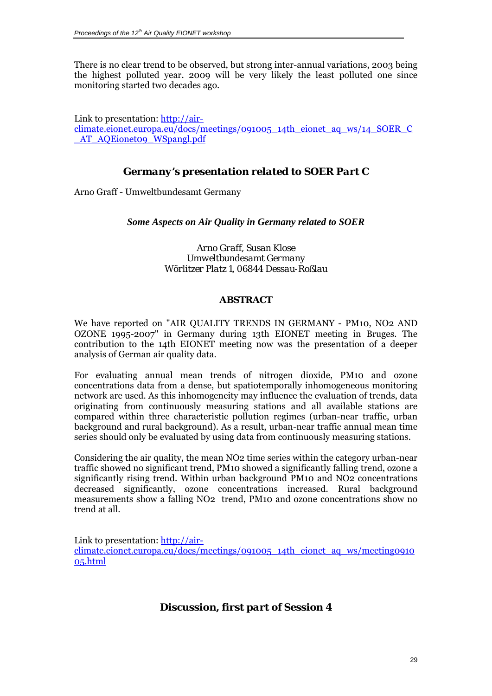<span id="page-28-0"></span>There is no clear trend to be observed, but strong inter-annual variations, 2003 being the highest polluted year. 2009 will be very likely the least polluted one since monitoring started two decades ago.

Link to presentation: [http://air](http://air-climate.eionet.europa.eu/docs/meetings/091005_14th_eionet_aq_ws/14_SOER_C_AT_AQEionet09_WSpangl.pdf)[climate.eionet.europa.eu/docs/meetings/091005\\_14th\\_eionet\\_aq\\_ws/14\\_SOER\\_C](http://air-climate.eionet.europa.eu/docs/meetings/091005_14th_eionet_aq_ws/14_SOER_C_AT_AQEionet09_WSpangl.pdf) [\\_AT\\_AQEionet09\\_WSpangl.pdf](http://air-climate.eionet.europa.eu/docs/meetings/091005_14th_eionet_aq_ws/14_SOER_C_AT_AQEionet09_WSpangl.pdf)

# *Germany's presentation related to SOER Part C*

Arno Graff - Umweltbundesamt Germany

*Some Aspects on Air Quality in Germany related to SOER*

*Arno Graff, Susan Klose Umweltbundesamt Germany Wörlitzer Platz 1, 06844 Dessau-Roßlau* 

#### **ABSTRACT**

We have reported on "AIR QUALITY TRENDS IN GERMANY - PM10, NO2 AND OZONE 1995-2007" in Germany during 13th EIONET meeting in Bruges. The contribution to the 14th EIONET meeting now was the presentation of a deeper analysis of German air quality data.

For evaluating annual mean trends of nitrogen dioxide, PM10 and ozone concentrations data from a dense, but [spatiotemporall](http://dict.leo.org/ende?lp=ende&p=thMx..&search=spatiotemporal)y inhomogeneous monitoring network are used. As this [inhomogeneity](http://dict.leo.org/ende?lp=ende&p=thMx..&search=inhomogeneity) may influence the evaluation of trends, data originating from continuously measuring stations and all available stations are compared within three characteristic pollution regimes (urban-near traffic, urban background and rural background). As a result, urban-near traffic annual mean time series should only be evaluated by using data from continuously measuring stations.

Considering the air quality, the mean NO2 time series within the category urban-near traffic showed no significant trend, PM10 showed a significantly falling trend, ozone a significantly rising trend. Within urban background PM10 and NO2 concentrations decreased significantly, ozone concentrations increased. Rural background measurements show a falling NO2 trend, PM10 and ozone concentrations show no trend at all.

Link to presentation: [http://air](http://air-climate.eionet.europa.eu/docs/meetings/091005_14th_eionet_aq_ws/meeting091005.html)[climate.eionet.europa.eu/docs/meetings/091005\\_14th\\_eionet\\_aq\\_ws/meeting0910](http://air-climate.eionet.europa.eu/docs/meetings/091005_14th_eionet_aq_ws/meeting091005.html) [05.html](http://air-climate.eionet.europa.eu/docs/meetings/091005_14th_eionet_aq_ws/meeting091005.html)

# *Discussion, first part of Session 4*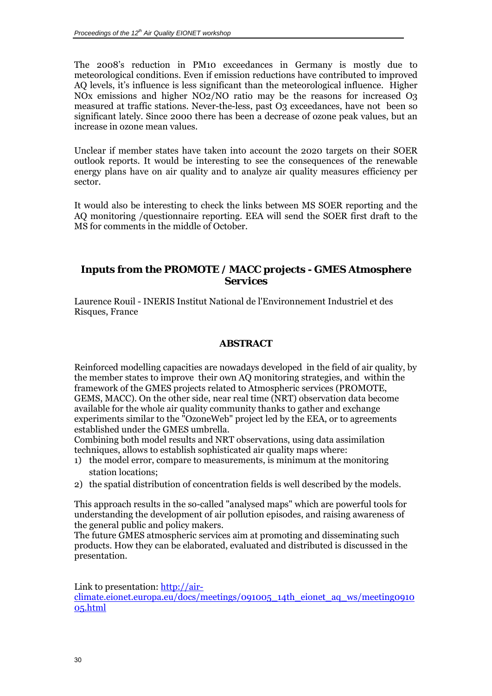<span id="page-29-0"></span>The 2008's reduction in PM10 exceedances in Germany is mostly due to meteorological conditions. Even if emission reductions have contributed to improved AQ levels, it's influence is less significant than the meteorological influence. Higher NOx emissions and higher NO2/NO ratio may be the reasons for increased O3 measured at traffic stations. Never-the-less, past O3 exceedances, have not been so significant lately. Since 2000 there has been a decrease of ozone peak values, but an increase in ozone mean values.

Unclear if member states have taken into account the 2020 targets on their SOER outlook reports. It would be interesting to see the consequences of the renewable energy plans have on air quality and to analyze air quality measures efficiency per sector.

It would also be interesting to check the links between MS SOER reporting and the AQ monitoring /questionnaire reporting. EEA will send the SOER first draft to the MS for comments in the middle of October.

# *Inputs from the PROMOTE / MACC projects - GMES Atmosphere Services*

Laurence Rouil - INERIS Institut National de l'Environnement Industriel et des Risques, France

### **ABSTRACT**

Reinforced modelling capacities are nowadays developed in the field of air quality, by the member states to improve their own AQ monitoring strategies, and within the framework of the GMES projects related to Atmospheric services (PROMOTE, GEMS, MACC). On the other side, near real time (NRT) observation data become available for the whole air quality community thanks to gather and exchange experiments similar to the "OzoneWeb" project led by the EEA, or to agreements established under the GMES umbrella.

Combining both model results and NRT observations, using data assimilation techniques, allows to establish sophisticated air quality maps where:

- 1) the model error, compare to measurements, is minimum at the monitoring station locations;
- 2) the spatial distribution of concentration fields is well described by the models.

This approach results in the so-called "analysed maps" which are powerful tools for understanding the development of air pollution episodes, and raising awareness of the general public and policy makers.

The future GMES atmospheric services aim at promoting and disseminating such products. How they can be elaborated, evaluated and distributed is discussed in the presentation.

Link to presentation: [http://air-](http://air-climate.eionet.europa.eu/docs/meetings/091005_14th_eionet_aq_ws/meeting091005.html)

[climate.eionet.europa.eu/docs/meetings/091005\\_14th\\_eionet\\_aq\\_ws/meeting0910](http://air-climate.eionet.europa.eu/docs/meetings/091005_14th_eionet_aq_ws/meeting091005.html) [05.html](http://air-climate.eionet.europa.eu/docs/meetings/091005_14th_eionet_aq_ws/meeting091005.html)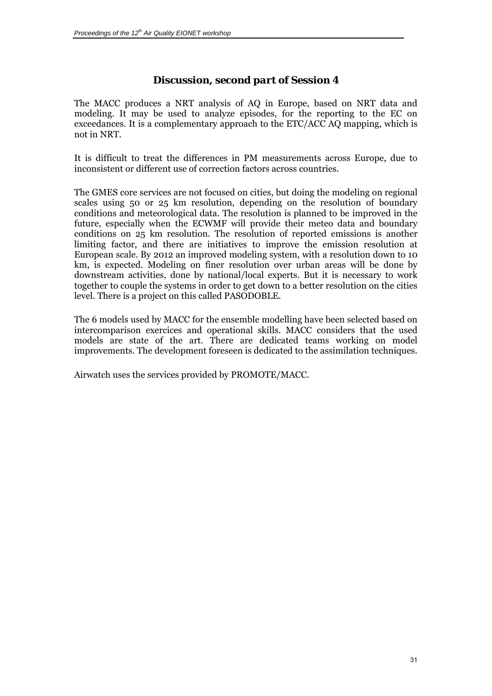# *Discussion, second part of Session 4*

<span id="page-30-0"></span>The MACC produces a NRT analysis of AQ in Europe, based on NRT data and modeling. It may be used to analyze episodes, for the reporting to the EC on exceedances. It is a complementary approach to the ETC/ACC AQ mapping, which is not in NRT.

It is difficult to treat the differences in PM measurements across Europe, due to inconsistent or different use of correction factors across countries.

The GMES core services are not focused on cities, but doing the modeling on regional scales using 50 or 25 km resolution, depending on the resolution of boundary conditions and meteorological data. The resolution is planned to be improved in the future, especially when the ECWMF will provide their meteo data and boundary conditions on 25 km resolution. The resolution of reported emissions is another limiting factor, and there are initiatives to improve the emission resolution at European scale. By 2012 an improved modeling system, with a resolution down to 10 km, is expected. Modeling on finer resolution over urban areas will be done by downstream activities, done by national/local experts. But it is necessary to work together to couple the systems in order to get down to a better resolution on the cities level. There is a project on this called PASODOBLE.

The 6 models used by MACC for the ensemble modelling have been selected based on intercomparison exercices and operational skills. MACC considers that the used models are state of the art. There are dedicated teams working on model improvements. The development foreseen is dedicated to the assimilation techniques.

Airwatch uses the services provided by PROMOTE/MACC.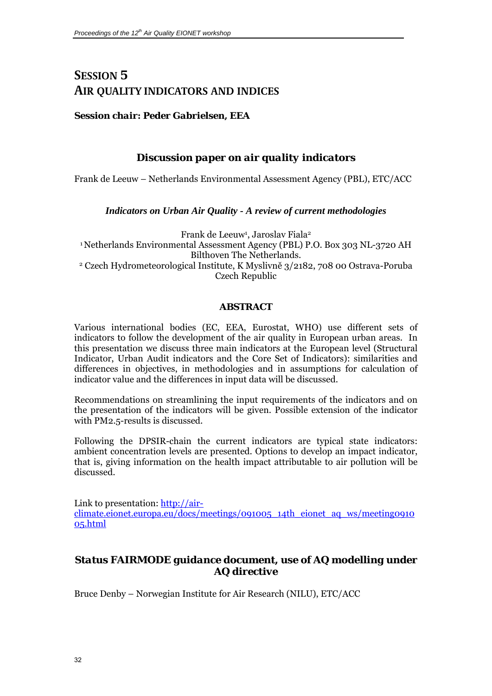# <span id="page-31-0"></span>**SESSION 5 AIR QUALITY INDICATORS AND INDICES**

### *Session chair: Peder Gabrielsen, EEA*

# *Discussion paper on air quality indicators*

Frank de Leeuw – Netherlands Environmental Assessment Agency (PBL), ETC/ACC

### *Indicators on Urban Air Quality - A review of current methodologies*

Frank de Leeuw<sup>1</sup>, Jaroslav Fiala<sup>2</sup> 1 Netherlands Environmental Assessment Agency (PBL) P.O. Box 303 NL-3720 AH Bilthoven The Netherlands.<br>2 Czech Hydrometeorological Institute, K Myslivně 3/2182, 708 00 Ostrava-Poruba Czech Republic

### **ABSTRACT**

Various international bodies (EC, EEA, Eurostat, WHO) use different sets of indicators to follow the development of the air quality in European urban areas. In this presentation we discuss three main indicators at the European level (Structural Indicator, Urban Audit indicators and the Core Set of Indicators): similarities and differences in objectives, in methodologies and in assumptions for calculation of indicator value and the differences in input data will be discussed.

Recommendations on streamlining the input requirements of the indicators and on the presentation of the indicators will be given. Possible extension of the indicator with PM2.5-results is discussed.

Following the DPSIR-chain the current indicators are typical state indicators: ambient concentration levels are presented. Options to develop an impact indicator, that is, giving information on the health impact attributable to air pollution will be discussed.

Link to presentation: [http://air](http://air-climate.eionet.europa.eu/docs/meetings/091005_14th_eionet_aq_ws/meeting091005.html)[climate.eionet.europa.eu/docs/meetings/091005\\_14th\\_eionet\\_aq\\_ws/meeting0910](http://air-climate.eionet.europa.eu/docs/meetings/091005_14th_eionet_aq_ws/meeting091005.html) [05.html](http://air-climate.eionet.europa.eu/docs/meetings/091005_14th_eionet_aq_ws/meeting091005.html)

# *Status FAIRMODE guidance document, use of AQ modelling under AQ directive*

Bruce Denby – Norwegian Institute for Air Research (NILU), ETC/ACC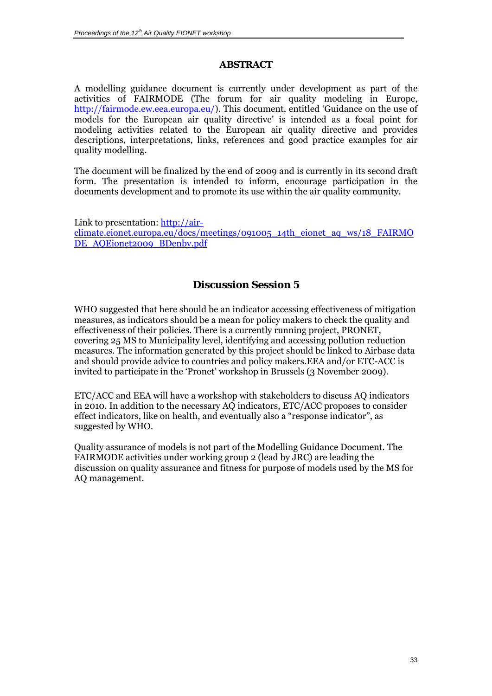## **ABSTRACT**

<span id="page-32-0"></span>A modelling guidance document is currently under development as part of the activities of FAIRMODE (The forum for air quality modeling in Europe, <http://fairmode.ew.eea.europa.eu/>). This document, entitled 'Guidance on the use of models for the European air quality directive' is intended as a focal point for modeling activities related to the European air quality directive and provides descriptions, interpretations, links, references and good practice examples for air quality modelling.

The document will be finalized by the end of 2009 and is currently in its second draft form. The presentation is intended to inform, encourage participation in the documents development and to promote its use within the air quality community.

Link to presentation: [http://air](http://air-climate.eionet.europa.eu/docs/meetings/091005_14th_eionet_aq_ws/18_FAIRMODE_AQEionet2009_BDenby.pdf)[climate.eionet.europa.eu/docs/meetings/091005\\_14th\\_eionet\\_aq\\_ws/18\\_FAIRMO](http://air-climate.eionet.europa.eu/docs/meetings/091005_14th_eionet_aq_ws/18_FAIRMODE_AQEionet2009_BDenby.pdf) [DE\\_AQEionet2009\\_BDenby.pdf](http://air-climate.eionet.europa.eu/docs/meetings/091005_14th_eionet_aq_ws/18_FAIRMODE_AQEionet2009_BDenby.pdf)

# *Discussion Session 5*

WHO suggested that here should be an indicator accessing effectiveness of mitigation measures, as indicators should be a mean for policy makers to check the quality and effectiveness of their policies. There is a currently running project, PRONET, covering 25 MS to Municipality level, identifying and accessing pollution reduction measures. The information generated by this project should be linked to Airbase data and should provide advice to countries and policy makers.EEA and/or ETC-ACC is invited to participate in the 'Pronet' workshop in Brussels (3 November 2009).

ETC/ACC and EEA will have a workshop with stakeholders to discuss AQ indicators in 2010. In addition to the necessary AQ indicators, ETC/ACC proposes to consider effect indicators, like on health, and eventually also a "response indicator", as suggested by WHO.

Quality assurance of models is not part of the Modelling Guidance Document. The FAIRMODE activities under working group 2 (lead by JRC) are leading the discussion on quality assurance and fitness for purpose of models used by the MS for AQ management.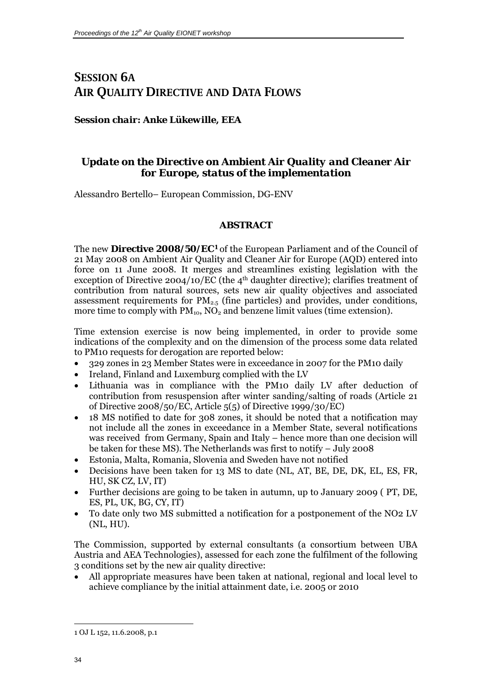# <span id="page-33-0"></span>**SESSION 6A AIR QUALITY DIRECTIVE AND DATA FLOWS**

### *Session chair: Anke Lükewille, EEA*

# *Update on the Directive on Ambient Air Quality and Cleaner Air for Europe, status of the implementation*

Alessandro Bertello– European Commission, DG-ENV

### **ABSTRACT**

The new **Directive 2008/50/EC[1](#page-33-0)** of the European Parliament and of the Council of 21 May 2008 on Ambient Air Quality and Cleaner Air for Europe (AQD) entered into force on 11 June 2008. It merges and streamlines existing legislation with the exception of Directive  $2004/10/\overline{EC}$  (the 4<sup>th</sup> daughter directive); clarifies treatment of contribution from natural sources, sets new air quality objectives and associated assessment requirements for  $PM_{2.5}$  (fine particles) and provides, under conditions, more time to comply with  $PM_{10}$ ,  $NO_2$  and benzene limit values (time extension).

Time extension exercise is now being implemented, in order to provide some indications of the complexity and on the dimension of the process some data related to PM10 requests for derogation are reported below:

- 329 zones in 23 Member States were in exceedance in 2007 for the PM10 daily
- Ireland, Finland and Luxemburg complied with the LV
- Lithuania was in compliance with the PM10 daily LV after deduction of contribution from resuspension after winter sanding/salting of roads (Article 21 of Directive 2008/50/EC, Article 5(5) of Directive 1999/30/EC)
- 18 MS notified to date for 308 zones, it should be noted that a notification may not include all the zones in exceedance in a Member State, several notifications was received from Germany, Spain and Italy – hence more than one decision will be taken for these MS). The Netherlands was first to notify – July 2008
- Estonia, Malta, Romania, Slovenia and Sweden have not notified
- Decisions have been taken for 13 MS to date (NL, AT, BE, DE, DK, EL, ES, FR, HU, SK CZ, LV, IT)
- Further decisions are going to be taken in autumn, up to January 2009 ( PT, DE, ES, PL, UK, BG, CY, IT)
- To date only two MS submitted a notification for a postponement of the NO2 LV (NL, HU).

The Commission, supported by external consultants (a consortium between UBA Austria and AEA Technologies), assessed for each zone the fulfilment of the following 3 conditions set by the new air quality directive:

• All appropriate measures have been taken at national, regional and local level to achieve compliance by the initial attainment date, i.e. 2005 or 2010

l 1 OJ L 152, 11.6.2008, p.1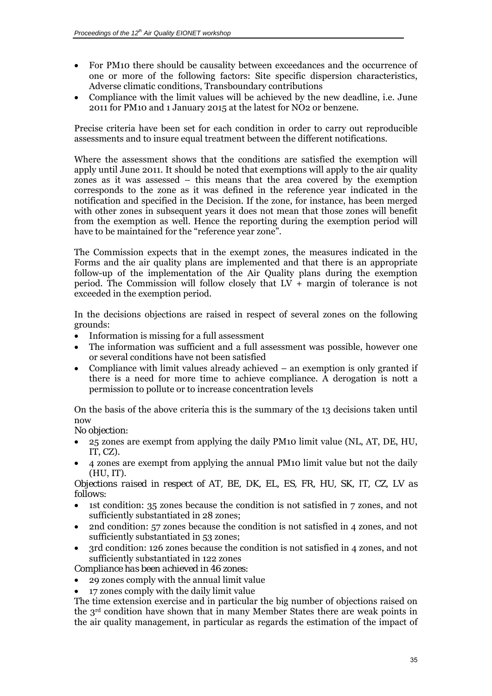- For PM10 there should be causality between exceedances and the occurrence of one or more of the following factors: Site specific dispersion characteristics, Adverse climatic conditions, Transboundary contributions
- Compliance with the limit values will be achieved by the new deadline, i.e. June 2011 for PM10 and 1 January 2015 at the latest for NO2 or benzene.

Precise criteria have been set for each condition in order to carry out reproducible assessments and to insure equal treatment between the different notifications.

Where the assessment shows that the conditions are satisfied the exemption will apply until June 2011. It should be noted that exemptions will apply to the air quality zones as it was assessed – this means that the area covered by the exemption corresponds to the zone as it was defined in the reference year indicated in the notification and specified in the Decision. If the zone, for instance, has been merged with other zones in subsequent years it does not mean that those zones will benefit from the exemption as well. Hence the reporting during the exemption period will have to be maintained for the "reference year zone".

The Commission expects that in the exempt zones, the measures indicated in the Forms and the air quality plans are implemented and that there is an appropriate follow-up of the implementation of the Air Quality plans during the exemption period. The Commission will follow closely that  $LV +$  margin of tolerance is not exceeded in the exemption period.

In the decisions objections are raised in respect of several zones on the following grounds:

- Information is missing for a full assessment
- The information was sufficient and a full assessment was possible, however one or several conditions have not been satisfied
- Compliance with limit values already achieved an exemption is only granted if there is a need for more time to achieve compliance. A derogation is nott a permission to pollute or to increase concentration levels

On the basis of the above criteria this is the summary of the 13 decisions taken until now

*No objection:* 

- 25 zones are exempt from applying the daily PM10 limit value (NL, AT, DE, HU, IT, CZ).
- 4 zones are exempt from applying the annual PM10 limit value but not the daily (HU, IT).

*Objections raised in respect of AT, BE, DK, EL, ES, FR, HU, SK, IT, CZ, LV as follows:* 

- 1st condition: 35 zones because the condition is not satisfied in 7 zones, and not sufficiently substantiated in 28 zones;
- 2nd condition: 57 zones because the condition is not satisfied in 4 zones, and not sufficiently substantiated in 53 zones;
- 3rd condition: 126 zones because the condition is not satisfied in 4 zones, and not sufficiently substantiated in 122 zones

*Compliance has been achieved in 46 zones:* 

- 29 zones comply with the annual limit value
- 17 zones comply with the daily limit value

The time extension exercise and in particular the big number of objections raised on the 3rd condition have shown that in many Member States there are weak points in the air quality management, in particular as regards the estimation of the impact of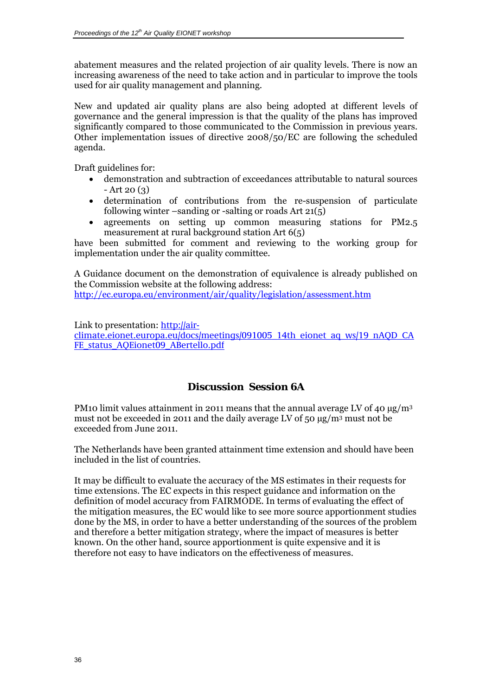<span id="page-35-0"></span>abatement measures and the related projection of air quality levels. There is now an increasing awareness of the need to take action and in particular to improve the tools used for air quality management and planning.

New and updated air quality plans are also being adopted at different levels of governance and the general impression is that the quality of the plans has improved significantly compared to those communicated to the Commission in previous years. Other implementation issues of directive 2008/50/EC are following the scheduled agenda.

Draft guidelines for:

- demonstration and subtraction of exceedances attributable to natural sources  $- Art 20 (3)$
- determination of contributions from the re-suspension of particulate following winter –sanding or -salting or roads Art 21(5)
- agreements on setting up common measuring stations for PM2.5 measurement at rural background station Art 6(5)

have been submitted for comment and reviewing to the working group for implementation under the air quality committee.

A Guidance document on the demonstration of equivalence is already published on the Commission website at the following address: <http://ec.europa.eu/environment/air/quality/legislation/assessment.htm>

Link to presentation: [http://air-](http://air-climate.eionet.europa.eu/docs/meetings/091005_14th_eionet_aq_ws/19_nAQD_CAFE_status_AQEionet09_ABertello.pdf)

[climate.eionet.europa.eu/docs/meetings/091005\\_14th\\_eionet\\_aq\\_ws/19\\_nAQD\\_CA](http://air-climate.eionet.europa.eu/docs/meetings/091005_14th_eionet_aq_ws/19_nAQD_CAFE_status_AQEionet09_ABertello.pdf) [FE\\_status\\_AQEionet09\\_ABertello.pdf](http://air-climate.eionet.europa.eu/docs/meetings/091005_14th_eionet_aq_ws/19_nAQD_CAFE_status_AQEionet09_ABertello.pdf)

# *Discussion Session 6A*

PM10 limit values attainment in 2011 means that the annual average LV of 40  $\mu$ g/m<sup>3</sup> must not be exceeded in 2011 and the daily average LV of 50 µg/m3 must not be exceeded from June 2011.

The Netherlands have been granted attainment time extension and should have been included in the list of countries.

It may be difficult to evaluate the accuracy of the MS estimates in their requests for time extensions. The EC expects in this respect guidance and information on the definition of model accuracy from FAIRMODE. In terms of evaluating the effect of the mitigation measures, the EC would like to see more source apportionment studies done by the MS, in order to have a better understanding of the sources of the problem and therefore a better mitigation strategy, where the impact of measures is better known. On the other hand, source apportionment is quite expensive and it is therefore not easy to have indicators on the effectiveness of measures.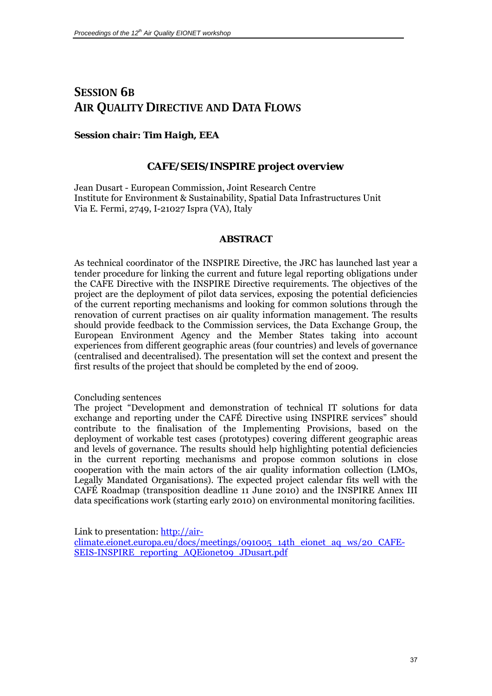# <span id="page-36-0"></span>**SESSION 6B AIR QUALITY DIRECTIVE AND DATA FLOWS**

#### *Session chair: Tim Haigh, EEA*

### *CAFE/SEIS/INSPIRE project overview*

Jean Dusart - European Commission, Joint Research Centre Institute for Environment & Sustainability, Spatial Data Infrastructures Unit Via E. Fermi, 2749, I-21027 Ispra (VA), Italy

#### **ABSTRACT**

As technical coordinator of the INSPIRE Directive, the JRC has launched last year a tender procedure for linking the current and future legal reporting obligations under the CAFE Directive with the INSPIRE Directive requirements. The objectives of the project are the deployment of pilot data services, exposing the potential deficiencies of the current reporting mechanisms and looking for common solutions through the renovation of current practises on air quality information management. The results should provide feedback to the Commission services, the Data Exchange Group, the European Environment Agency and the Member States taking into account experiences from different geographic areas (four countries) and levels of governance (centralised and decentralised). The presentation will set the context and present the first results of the project that should be completed by the end of 2009.

#### Concluding sentences

The project "Development and demonstration of technical IT solutions for data exchange and reporting under the CAFÉ Directive using INSPIRE services" should contribute to the finalisation of the Implementing Provisions, based on the deployment of workable test cases (prototypes) covering different geographic areas and levels of governance. The results should help highlighting potential deficiencies in the current reporting mechanisms and propose common solutions in close cooperation with the main actors of the air quality information collection (LMOs, Legally Mandated Organisations). The expected project calendar fits well with the CAFÉ Roadmap (transposition deadline 11 June 2010) and the INSPIRE Annex III data specifications work (starting early 2010) on environmental monitoring facilities.

Link to presentation: [http://air-](http://air-climate.eionet.europa.eu/docs/meetings/091005_14th_eionet_aq_ws/20_CAFE-SEIS-INSPIRE_reporting_AQEionet09_JDusart.pdf)

[climate.eionet.europa.eu/docs/meetings/091005\\_14th\\_eionet\\_aq\\_ws/20\\_CAFE-](http://air-climate.eionet.europa.eu/docs/meetings/091005_14th_eionet_aq_ws/20_CAFE-SEIS-INSPIRE_reporting_AQEionet09_JDusart.pdf)[SEIS-INSPIRE\\_reporting\\_AQEionet09\\_JDusart.pdf](http://air-climate.eionet.europa.eu/docs/meetings/091005_14th_eionet_aq_ws/20_CAFE-SEIS-INSPIRE_reporting_AQEionet09_JDusart.pdf)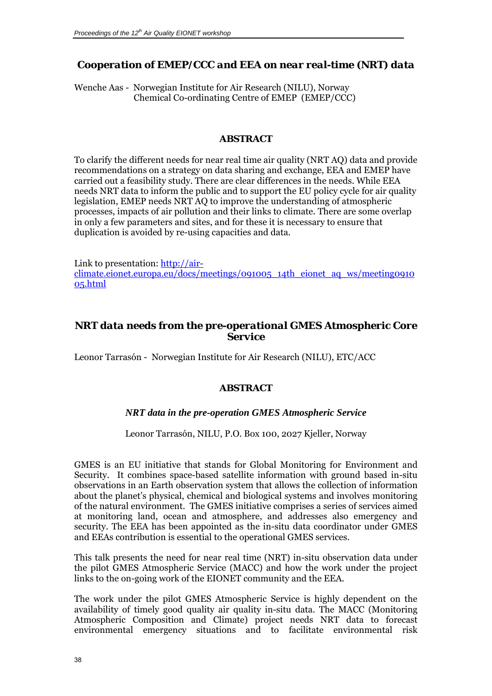# <span id="page-37-0"></span>*Cooperation of EMEP/CCC and EEA on near real-time (NRT) data*

Wenche Aas - Norwegian Institute for Air Research (NILU), Norway Chemical Co-ordinating Centre of EMEP (EMEP/CCC)

#### **ABSTRACT**

To clarify the different needs for near real time air quality (NRT AQ) data and provide recommendations on a strategy on data sharing and exchange, EEA and EMEP have carried out a feasibility study. There are clear differences in the needs. While EEA needs NRT data to inform the public and to support the EU policy cycle for air quality legislation, EMEP needs NRT AQ to improve the understanding of atmospheric processes, impacts of air pollution and their links to climate. There are some overlap in only a few parameters and sites, and for these it is necessary to ensure that duplication is avoided by re-using capacities and data.

Link to presentation: [http://air](http://air-climate.eionet.europa.eu/docs/meetings/091005_14th_eionet_aq_ws/meeting091005.html)[climate.eionet.europa.eu/docs/meetings/091005\\_14th\\_eionet\\_aq\\_ws/meeting0910](http://air-climate.eionet.europa.eu/docs/meetings/091005_14th_eionet_aq_ws/meeting091005.html) [05.html](http://air-climate.eionet.europa.eu/docs/meetings/091005_14th_eionet_aq_ws/meeting091005.html)

## *NRT data needs from the pre-operational GMES Atmospheric Core Service*

Leonor Tarrasón - Norwegian Institute for Air Research (NILU), ETC/ACC

### **ABSTRACT**

### *NRT data in the pre-operation GMES Atmospheric Service*

Leonor Tarrasón, NILU, P.O. Box 100, 2027 Kjeller, Norway

GMES is an EU initiative that stands for Global Monitoring for Environment and Security. It combines space-based satellite information with ground based in-situ observations in an Earth observation system that allows the collection of information about the planet's physical, chemical and biological systems and involves monitoring of the natural environment. The GMES initiative comprises a series of services aimed at monitoring land, ocean and atmosphere, and addresses also emergency and security. The EEA has been appointed as the in-situ data coordinator under GMES and EEAs contribution is essential to the operational GMES services.

This talk presents the need for near real time (NRT) in-situ observation data under the pilot GMES Atmospheric Service (MACC) and how the work under the project links to the on-going work of the EIONET community and the EEA.

The work under the pilot GMES Atmospheric Service is highly dependent on the availability of timely good quality air quality in-situ data. The MACC (Monitoring Atmospheric Composition and Climate) project needs NRT data to forecast environmental emergency situations and to facilitate environmental risk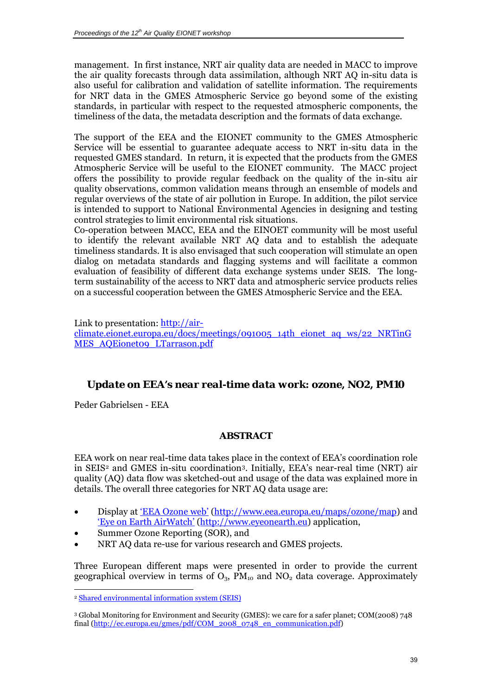<span id="page-38-0"></span>management. In first instance, NRT air quality data are needed in MACC to improve the air quality forecasts through data assimilation, although NRT AQ in-situ data is also useful for calibration and validation of satellite information. The requirements for NRT data in the GMES Atmospheric Service go beyond some of the existing standards, in particular with respect to the requested atmospheric components, the timeliness of the data, the metadata description and the formats of data exchange.

The support of the EEA and the EIONET community to the GMES Atmospheric Service will be essential to guarantee adequate access to NRT in-situ data in the requested GMES standard. In return, it is expected that the products from the GMES Atmospheric Service will be useful to the EIONET community. The MACC project offers the possibility to provide regular feedback on the quality of the in-situ air quality observations, common validation means through an ensemble of models and regular overviews of the state of air pollution in Europe. In addition, the pilot service is intended to support to National Environmental Agencies in designing and testing control strategies to limit environmental risk situations.

Co-operation between MACC, EEA and the EINOET community will be most useful to identify the relevant available NRT AQ data and to establish the adequate timeliness standards. It is also envisaged that such cooperation will stimulate an open dialog on metadata standards and flagging systems and will facilitate a common evaluation of feasibility of different data exchange systems under SEIS. The longterm sustainability of the access to NRT data and atmospheric service products relies on a successful cooperation between the GMES Atmospheric Service and the EEA.

Link to presentation: [http://air](http://air-climate.eionet.europa.eu/docs/meetings/091005_14th_eionet_aq_ws/22_NRTinGMES_AQEionet09_LTarrason.pdf)[climate.eionet.europa.eu/docs/meetings/091005\\_14th\\_eionet\\_aq\\_ws/22\\_NRTinG](http://air-climate.eionet.europa.eu/docs/meetings/091005_14th_eionet_aq_ws/22_NRTinGMES_AQEionet09_LTarrason.pdf) [MES\\_AQEionet09\\_LTarrason.pdf](http://air-climate.eionet.europa.eu/docs/meetings/091005_14th_eionet_aq_ws/22_NRTinGMES_AQEionet09_LTarrason.pdf)

# *Update on EEA's near real-time data work: ozone, NO2, PM10*

Peder Gabrielsen - EEA

 $\overline{a}$ 

# **ABSTRACT**

EEA work on near real-time data takes place in the context of EEA's coordination role in SEIS[2](#page-38-0) and GMES in-situ coordination[3.](#page-38-0) Initially, EEA's near-real time (NRT) air quality (AQ) data flow was sketched-out and usage of the data was explained more in details. The overall three categories for NRT AQ data usage are:

- Display at ['EEA Ozone web'](http://www.eea.europa.eu/maps/ozone/map) [\(http://www.eea.europa.eu/maps/ozone/map](http://www.eea.europa.eu/maps/ozone/map)) and ['Eye on Earth AirWatch'](http://eyeonearth.cloudapp.net/) [\(http://www.eyeonearth.eu](http://www.eyeonearth.eu/)) application,
- Summer Ozone Reporting (SOR), and
- NRT AQ data re-use for various research and GMES projects.

Three European different maps were presented in order to provide the current geographical overview in terms of  $O_3$ ,  $\overline{PM}_{10}$  and  $NO_2$  data coverage. Approximately

<sup>&</sup>lt;sup>2</sup> Shared environmental information system (SEIS)

<sup>3</sup> Global Monitoring for Environment and Security (GMES): we care for a safer planet; COM(2008) 748 final (http://ec.europa.eu/gmes/pdf/COM\_2008\_0748\_en\_communication.pdf)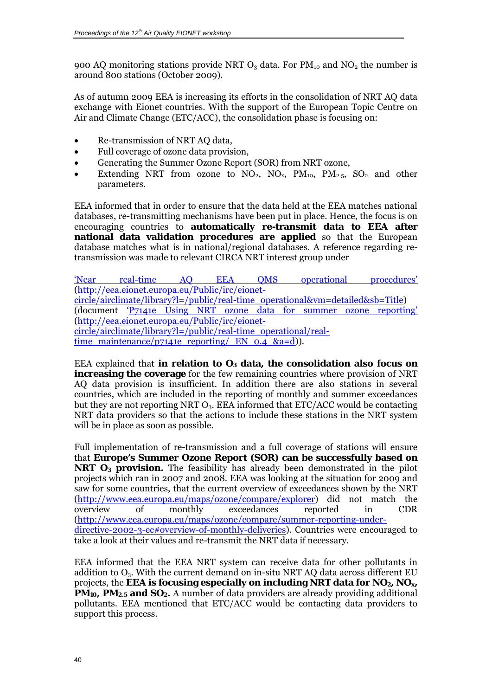900 AQ monitoring stations provide NRT  $O_3$  data. For  $PM_{10}$  and  $NO_2$  the number is around 800 stations (October 2009).

As of autumn 2009 EEA is increasing its efforts in the consolidation of NRT AQ data exchange with Eionet countries. With the support of the European Topic Centre on Air and Climate Change (ETC/ACC), the consolidation phase is focusing on:

- Re-transmission of NRT AQ data,
- Full coverage of ozone data provision,
- Generating the Summer Ozone Report (SOR) from NRT ozone,
- Extending NRT from ozone to  $NO_2$ ,  $NO_x$ ,  $PM_{10}$ ,  $PM_{2.5}$ ,  $SO_2$  and other parameters.

EEA informed that in order to ensure that the data held at the EEA matches national databases, re-transmitting mechanisms have been put in place. Hence, the focus is on encouraging countries to **automatically re-transmit data to EEA after national data validation procedures are applied** so that the European database matches what is in national/regional databases. A reference regarding retransmission was made to relevant CIRCA NRT interest group under

['Near real-time AQ EEA QMS operational procedures'](http://eea.eionet.europa.eu/Public/irc/eionet-circle/airclimate/library?l=/public/real-time_operational&vm=detailed&sb=Title) ([http://eea.eionet.europa.eu/Public/irc/eionet](http://eea.eionet.europa.eu/Public/irc/eionet-circle/airclimate/library?l=/public/real-time_operational&vm=detailed&sb=Title)[circle/airclimate/library?l=/public/real-time\\_operational&vm=detailed&sb=Title](http://eea.eionet.europa.eu/Public/irc/eionet-circle/airclimate/library?l=/public/real-time_operational&vm=detailed&sb=Title)) (document '[P7141e Using NRT ozone data for summer ozone reporting'](http://eea.eionet.europa.eu/Public/irc/eionet-circle/airclimate/library?l=/public/real-time_operational/real-time_maintenance/p7141e_reporting/_EN_0.4_&a=d) ([http://eea.eionet.europa.eu/Public/irc/eionet](http://eea.eionet.europa.eu/Public/irc/eionet-circle/airclimate/library?l=/public/real-time_operational/real-time_maintenance/p7141e_reporting/_EN_0.4_&a=d)[circle/airclimate/library?l=/public/real-time\\_operational/real](http://eea.eionet.europa.eu/Public/irc/eionet-circle/airclimate/library?l=/public/real-time_operational/real-time_maintenance/p7141e_reporting/_EN_0.4_&a=d)[time\\_maintenance/p7141e\\_reporting/\\_EN\\_0.4\\_&a=d](http://eea.eionet.europa.eu/Public/irc/eionet-circle/airclimate/library?l=/public/real-time_operational/real-time_maintenance/p7141e_reporting/_EN_0.4_&a=d))).

EEA explained that **in relation to O<sub>3</sub> data, the consolidation also focus on increasing the coverage** for the few remaining countries where provision of NRT AQ data provision is insufficient. In addition there are also stations in several countries, which are included in the reporting of monthly and summer exceedances but they are not reporting NRT  $O_3$ . EEA informed that ETC/ACC would be contacting NRT data providers so that the actions to include these stations in the NRT system will be in place as soon as possible.

Full implementation of re-transmission and a full coverage of stations will ensure that **Europe's Summer Ozone Report (SOR) can be successfully based on NRT O<sub>3</sub> provision.** The feasibility has already been demonstrated in the pilot projects which ran in 2007 and 2008. EEA was looking at the situation for 2009 and saw for some countries, that the current overview of exceedances shown by the NRT (<http://www.eea.europa.eu/maps/ozone/compare/explorer>) did not match the overview of monthly exceedances reported in CDR [\(http://www.eea.europa.eu/maps/ozone/compare/summer-reporting-under](http://www.eea.europa.eu/maps/ozone/compare/summer-reporting-under-directive-2002-3-ec#overview-of-monthly-deliveries)[directive-2002-3-ec#overview-of-monthly-deliveries](http://www.eea.europa.eu/maps/ozone/compare/summer-reporting-under-directive-2002-3-ec#overview-of-monthly-deliveries)). Countries were encouraged to take a look at their values and re-transmit the NRT data if necessary.

EEA informed that the EEA NRT system can receive data for other pollutants in addition to  $O_3$ . With the current demand on in-situ NRT AQ data across different EU projects, the **EEA is focusing especially on including NRT data for NO<sub>2</sub>, NO<sub>x</sub>, PM10, PM2.5 and SO2.** A number of data providers are already providing additional pollutants. EEA mentioned that ETC/ACC would be contacting data providers to support this process.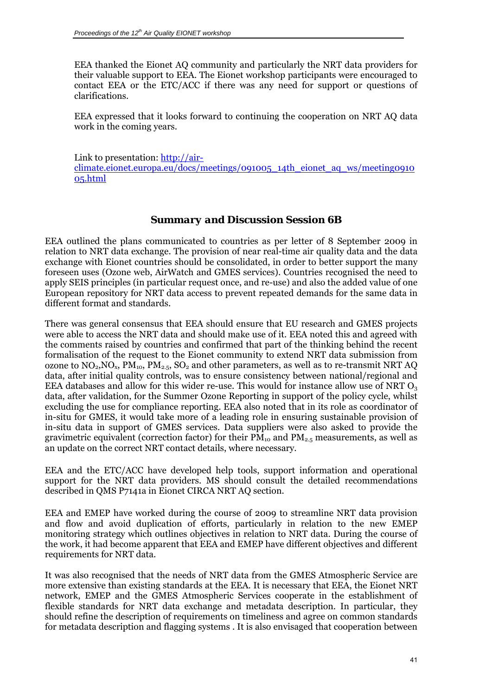<span id="page-40-0"></span>EEA thanked the Eionet AQ community and particularly the NRT data providers for their valuable support to EEA. The Eionet workshop participants were encouraged to contact EEA or the ETC/ACC if there was any need for support or questions of clarifications.

EEA expressed that it looks forward to continuing the cooperation on NRT AQ data work in the coming years.

Link to presentation: [http://air-](http://air-climate.eionet.europa.eu/docs/meetings/091005_14th_eionet_aq_ws/meeting091005.html)

[climate.eionet.europa.eu/docs/meetings/091005\\_14th\\_eionet\\_aq\\_ws/meeting0910](http://air-climate.eionet.europa.eu/docs/meetings/091005_14th_eionet_aq_ws/meeting091005.html) [05.html](http://air-climate.eionet.europa.eu/docs/meetings/091005_14th_eionet_aq_ws/meeting091005.html)

### *Summary and Discussion Session 6B*

EEA outlined the plans communicated to countries as per letter of 8 September 2009 in relation to NRT data exchange. The provision of near real-time air quality data and the data exchange with Eionet countries should be consolidated, in order to better support the many foreseen uses (Ozone web, AirWatch and GMES services). Countries recognised the need to apply SEIS principles (in particular request once, and re-use) and also the added value of one European repository for NRT data access to prevent repeated demands for the same data in different format and standards.

There was general consensus that EEA should ensure that EU research and GMES projects were able to access the NRT data and should make use of it. EEA noted this and agreed with the comments raised by countries and confirmed that part of the thinking behind the recent formalisation of the request to the Eionet community to extend NRT data submission from ozone to  $NO_2, NO_x, PM_{10}$ ,  $PM_{2.5}$ ,  $SO_2$  and other parameters, as well as to re-transmit NRT AQ data, after initial quality controls, was to ensure consistency between national/regional and EEA databases and allow for this wider re-use. This would for instance allow use of NRT  $O<sub>3</sub>$ data, after validation, for the Summer Ozone Reporting in support of the policy cycle, whilst excluding the use for compliance reporting. EEA also noted that in its role as coordinator of in-situ for GMES, it would take more of a leading role in ensuring sustainable provision of in-situ data in support of GMES services. Data suppliers were also asked to provide the gravimetric equivalent (correction factor) for their  $\overline{PM}_{10}$  and  $\overline{PM}_{2.5}$  measurements, as well as an update on the correct NRT contact details, where necessary.

EEA and the ETC/ACC have developed help tools, support information and operational support for the NRT data providers. MS should consult the detailed recommendations described in QMS P7141a in Eionet CIRCA NRT AQ section.

EEA and EMEP have worked during the course of 2009 to streamline NRT data provision and flow and avoid duplication of efforts, particularly in relation to the new EMEP monitoring strategy which outlines objectives in relation to NRT data. During the course of the work, it had become apparent that EEA and EMEP have different objectives and different requirements for NRT data.

It was also recognised that the needs of NRT data from the GMES Atmospheric Service are more extensive than existing standards at the EEA. It is necessary that EEA, the Eionet NRT network, EMEP and the GMES Atmospheric Services cooperate in the establishment of flexible standards for NRT data exchange and metadata description. In particular, they should refine the description of requirements on timeliness and agree on common standards for metadata description and flagging systems . It is also envisaged that cooperation between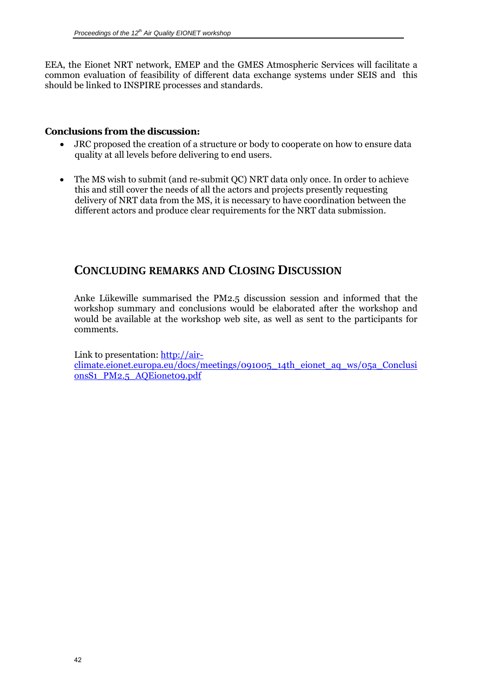<span id="page-41-0"></span>EEA, the Eionet NRT network, EMEP and the GMES Atmospheric Services will facilitate a common evaluation of feasibility of different data exchange systems under SEIS and this should be linked to INSPIRE processes and standards.

#### **Conclusions from the discussion:**

- JRC proposed the creation of a structure or body to cooperate on how to ensure data quality at all levels before delivering to end users.
- The MS wish to submit (and re-submit QC) NRT data only once. In order to achieve this and still cover the needs of all the actors and projects presently requesting delivery of NRT data from the MS, it is necessary to have coordination between the different actors and produce clear requirements for the NRT data submission.

# **CONCLUDING REMARKS AND CLOSING DISCUSSION**

Anke Lükewille summarised the PM2.5 discussion session and informed that the workshop summary and conclusions would be elaborated after the workshop and would be available at the workshop web site, as well as sent to the participants for comments.

Link to presentation: [http://air](http://air-climate.eionet.europa.eu/docs/meetings/091005_14th_eionet_aq_ws/05a_ConclusionsS1_PM2.5_AQEionet09.pdf)[climate.eionet.europa.eu/docs/meetings/091005\\_14th\\_eionet\\_aq\\_ws/05a\\_Conclusi](http://air-climate.eionet.europa.eu/docs/meetings/091005_14th_eionet_aq_ws/05a_ConclusionsS1_PM2.5_AQEionet09.pdf) [onsS1\\_PM2.5\\_AQEionet09.pdf](http://air-climate.eionet.europa.eu/docs/meetings/091005_14th_eionet_aq_ws/05a_ConclusionsS1_PM2.5_AQEionet09.pdf)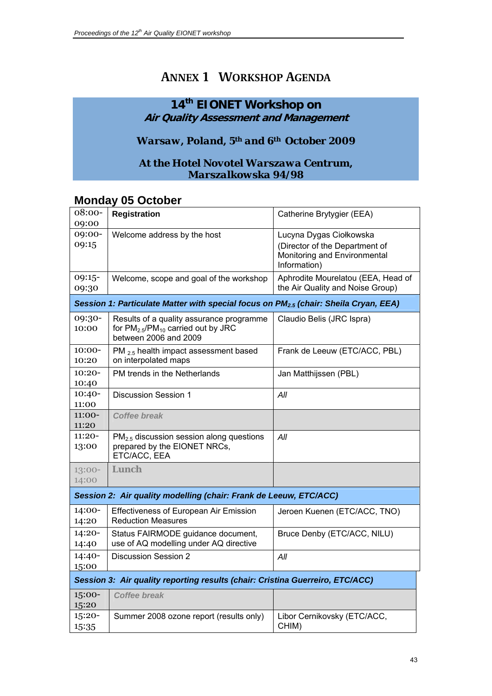# **ANNEX 1 WORKSHOP AGENDA**

# <span id="page-42-0"></span>**14th EIONET Workshop on Air Quality Assessment and Management**

# *Warsaw, Poland, 5th and 6th October 2009*

## *At the Hotel Novotel Warszawa Centrum, Marszalkowska 94/98*

# **Monday 05 October**

| 08:00-   | Registration                                                                                     | Catherine Brytygier (EEA)          |
|----------|--------------------------------------------------------------------------------------------------|------------------------------------|
| 09:00    |                                                                                                  |                                    |
| 09:00-   | Welcome address by the host                                                                      | Lucyna Dygas Ciołkowska            |
| 09:15    |                                                                                                  | (Director of the Department of     |
|          |                                                                                                  | Monitoring and Environmental       |
|          |                                                                                                  | Information)                       |
| 09:15-   | Welcome, scope and goal of the workshop                                                          | Aphrodite Mourelatou (EEA, Head of |
| 09:30    |                                                                                                  | the Air Quality and Noise Group)   |
|          | Session 1: Particulate Matter with special focus on PM <sub>2.5</sub> (chair: Sheila Cryan, EEA) |                                    |
| 09:30-   | Results of a quality assurance programme                                                         | Claudio Belis (JRC Ispra)          |
| 10:00    | for $PM_{2.5}$ /PM <sub>10</sub> carried out by JRC                                              |                                    |
|          | between 2006 and 2009                                                                            |                                    |
| $10:00-$ | PM <sub>2.5</sub> health impact assessment based                                                 | Frank de Leeuw (ETC/ACC, PBL)      |
| 10:20    | on interpolated maps                                                                             |                                    |
| $10:20-$ | PM trends in the Netherlands                                                                     | Jan Matthijssen (PBL)              |
| 10:40    |                                                                                                  |                                    |
| $10:40-$ | <b>Discussion Session 1</b>                                                                      | All                                |
| 11:00    |                                                                                                  |                                    |
| 11:00-   | <b>Coffee break</b>                                                                              |                                    |
| 11:20    |                                                                                                  |                                    |
| $11:20-$ | PM <sub>2.5</sub> discussion session along questions                                             | All                                |
| 13:00    | prepared by the EIONET NRCs,<br>ETC/ACC, EEA                                                     |                                    |
|          |                                                                                                  |                                    |
| $13:00-$ | <b>Lunch</b>                                                                                     |                                    |
| 14:00    |                                                                                                  |                                    |
|          | Session 2: Air quality modelling (chair: Frank de Leeuw, ETC/ACC)                                |                                    |
| 14:00-   | Effectiveness of European Air Emission                                                           | Jeroen Kuenen (ETC/ACC, TNO)       |
| 14:20    | <b>Reduction Measures</b>                                                                        |                                    |
| 14:20-   | Status FAIRMODE guidance document,                                                               | Bruce Denby (ETC/ACC, NILU)        |
| 14:40    | use of AQ modelling under AQ directive                                                           |                                    |
| 14:40-   | <b>Discussion Session 2</b>                                                                      | All                                |
| 15:00    |                                                                                                  |                                    |
|          | Session 3: Air quality reporting results (chair: Cristina Guerreiro, ETC/ACC)                    |                                    |
| 15:00-   | <b>Coffee break</b>                                                                              |                                    |
| 15:20    |                                                                                                  |                                    |
| 15:20-   | Summer 2008 ozone report (results only)                                                          | Libor Cernikovsky (ETC/ACC,        |
| 15:35    |                                                                                                  | CHIM)                              |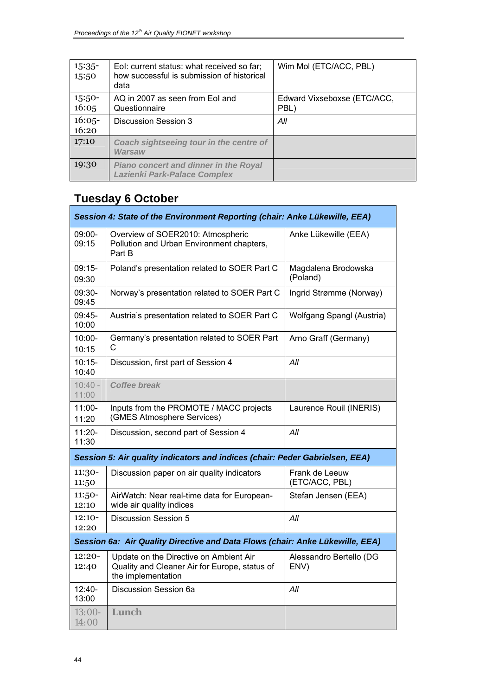| $15:35-$<br>15:50 | Eol: current status: what received so far;<br>how successful is submission of historical<br>data | Wim Mol (ETC/ACC, PBL)              |
|-------------------|--------------------------------------------------------------------------------------------------|-------------------------------------|
| $15:50-$<br>16:05 | AQ in 2007 as seen from EoI and<br>Questionnaire                                                 | Edward Vixseboxse (ETC/ACC,<br>PBL) |
| $16:05-$<br>16:20 | Discussion Session 3                                                                             | All                                 |
| 17:10             | Coach sightseeing tour in the centre of<br>Warsaw                                                |                                     |
| 19:30             | <b>Piano concert and dinner in the Royal</b><br><b>Lazienki Park-Palace Complex</b>              |                                     |

۲

# **Tuesday 6 October**

| Session 4: State of the Environment Reporting (chair: Anke Lükewille, EEA)    |                                                                                                               |                                  |  |  |
|-------------------------------------------------------------------------------|---------------------------------------------------------------------------------------------------------------|----------------------------------|--|--|
| 09:00-<br>09:15                                                               | Overview of SOER2010: Atmospheric<br>Pollution and Urban Environment chapters,<br>Part B                      | Anke Lükewille (EEA)             |  |  |
| $09:15-$<br>09:30                                                             | Poland's presentation related to SOER Part C                                                                  | Magdalena Brodowska<br>(Poland)  |  |  |
| $09:30-$<br>09:45                                                             | Norway's presentation related to SOER Part C                                                                  | Ingrid Strømme (Norway)          |  |  |
| 09:45-<br>10:00                                                               | Austria's presentation related to SOER Part C                                                                 | Wolfgang Spangl (Austria)        |  |  |
| $10:00 -$<br>10:15                                                            | Germany's presentation related to SOER Part<br>C                                                              | Arno Graff (Germany)             |  |  |
| $10:15 -$<br>10:40                                                            | Discussion, first part of Session 4                                                                           | All                              |  |  |
| $10:40 -$<br>11:00                                                            | <b>Coffee break</b>                                                                                           |                                  |  |  |
| $11:00 -$<br>11:20                                                            | Inputs from the PROMOTE / MACC projects<br>(GMES Atmosphere Services)                                         | Laurence Rouil (INERIS)          |  |  |
| $11:20 -$<br>11:30                                                            | Discussion, second part of Session 4                                                                          | All                              |  |  |
|                                                                               | Session 5: Air quality indicators and indices (chair: Peder Gabrielsen, EEA)                                  |                                  |  |  |
| 11:30-<br>11:50                                                               | Discussion paper on air quality indicators                                                                    | Frank de Leeuw<br>(ETC/ACC, PBL) |  |  |
| 11:50-<br>12:10                                                               | AirWatch: Near real-time data for European-<br>wide air quality indices                                       | Stefan Jensen (EEA)              |  |  |
| $12:10-$<br>12:20                                                             | <b>Discussion Session 5</b>                                                                                   | All                              |  |  |
| Session 6a: Air Quality Directive and Data Flows (chair: Anke Lükewille, EEA) |                                                                                                               |                                  |  |  |
| 12:20-<br>12:40                                                               | Update on the Directive on Ambient Air<br>Quality and Cleaner Air for Europe, status of<br>the implementation | Alessandro Bertello (DG<br>ENV)  |  |  |
| $12:40-$<br>13:00                                                             | Discussion Session 6a                                                                                         | All                              |  |  |
| $13:00-$<br>14:00                                                             | <b>Lunch</b>                                                                                                  |                                  |  |  |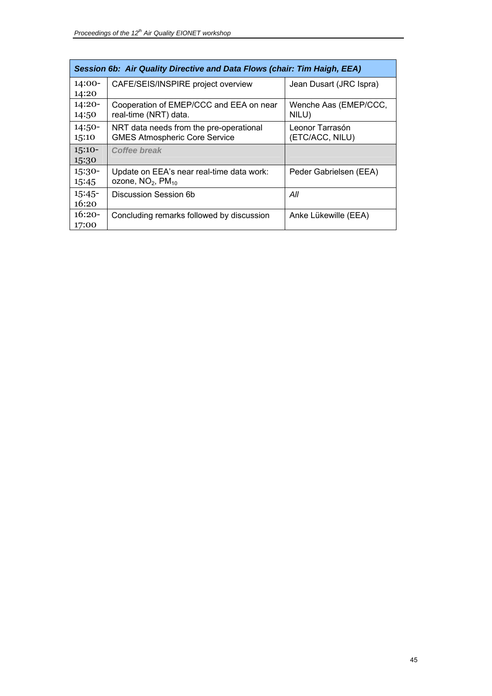| Session 6b: Air Quality Directive and Data Flows (chair: Tim Haigh, EEA) |                                                                                 |                                    |  |
|--------------------------------------------------------------------------|---------------------------------------------------------------------------------|------------------------------------|--|
| $14:00-$<br>14:20                                                        | CAFE/SEIS/INSPIRE project overview                                              | Jean Dusart (JRC Ispra)            |  |
| $14:20-$<br>14:50                                                        | Cooperation of EMEP/CCC and EEA on near<br>real-time (NRT) data.                | Wenche Aas (EMEP/CCC,<br>NILU)     |  |
| $14:50-$<br>15:10                                                        | NRT data needs from the pre-operational<br><b>GMES Atmospheric Core Service</b> | Leonor Tarrasón<br>(ETC/ACC, NILU) |  |
| $15:10-$<br>15:30                                                        | Coffee break                                                                    |                                    |  |
| $15:30-$<br>15:45                                                        | Update on EEA's near real-time data work:<br>ozone, $NO2$ , $PM10$              | Peder Gabrielsen (EEA)             |  |
| $15:45-$<br>16:20                                                        | Discussion Session 6b                                                           | All                                |  |
| $16:20-$<br>17:00                                                        | Concluding remarks followed by discussion                                       | Anke Lükewille (EEA)               |  |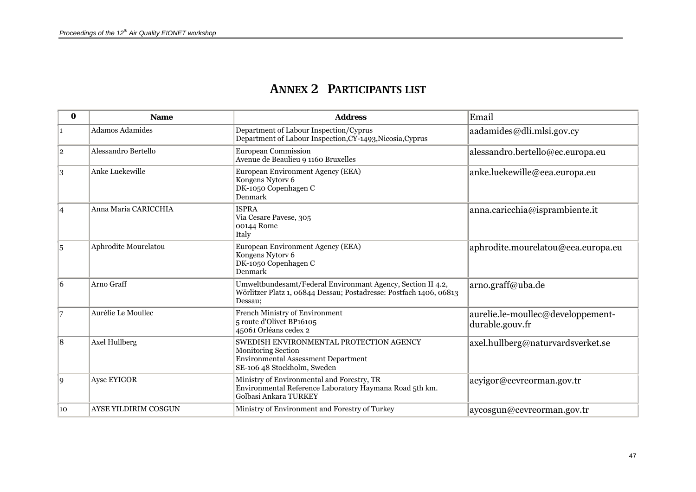# **ANNEX 2 PARTICIPANTS LIST**

<span id="page-46-0"></span>

| $\bf{0}$       | <b>Name</b>            | <b>Address</b>                                                                                                                               | Email                                                |
|----------------|------------------------|----------------------------------------------------------------------------------------------------------------------------------------------|------------------------------------------------------|
| 1              | <b>Adamos Adamides</b> | Department of Labour Inspection/Cyprus<br>Department of Labour Inspection, CY-1493, Nicosia, Cyprus                                          | aadamides@dli.mlsi.gov.cy                            |
| $\overline{2}$ | Alessandro Bertello    | <b>European Commission</b><br>Avenue de Beaulieu 9 1160 Bruxelles                                                                            | alessandro.bertello@ec.europa.eu                     |
| 3              | Anke Luekewille        | European Environment Agency (EEA)<br>Kongens Nytorv 6<br>DK-1050 Copenhagen C<br>Denmark                                                     | anke.luekewille@eea.europa.eu                        |
| $\vert 4$      | Anna Maria CARICCHIA   | <b>ISPRA</b><br>Via Cesare Pavese, 305<br>00144 Rome<br>Italy                                                                                | anna.caricchia@isprambiente.it                       |
| 5              | Aphrodite Mourelatou   | European Environment Agency (EEA)<br>Kongens Nytorv 6<br>DK-1050 Copenhagen C<br>Denmark                                                     | aphrodite.mourelatou@eea.europa.eu                   |
| 6              | Arno Graff             | Umweltbundesamt/Federal Environmant Agency, Section II 4.2,<br>Wörlitzer Platz 1, 06844 Dessau; Postadresse: Postfach 1406, 06813<br>Dessau: | arno.graff@uba.de                                    |
| $\overline{7}$ | Aurélie Le Moullec     | French Ministry of Environment<br>5 route d'Olivet BP16105<br>45061 Orléans cedex 2                                                          | aurelie.le-moullec@developpement-<br>durable.gouv.fr |
| 8              | <b>Axel Hullberg</b>   | SWEDISH ENVIRONMENTAL PROTECTION AGENCY<br><b>Monitoring Section</b><br>Environmental Assessment Department<br>SE-106 48 Stockholm, Sweden   | axel.hullberg@naturvardsverket.se                    |
| 9              | Ayse EYIGOR            | Ministry of Environmental and Forestry, TR<br>Environmental Reference Laboratory Haymana Road 5th km.<br>Golbasi Ankara TURKEY               | aeyigor@cevreorman.gov.tr                            |
| 10             | AYSE YILDIRIM COSGUN   | Ministry of Environment and Forestry of Turkey                                                                                               | aycosgun@cevreorman.gov.tr                           |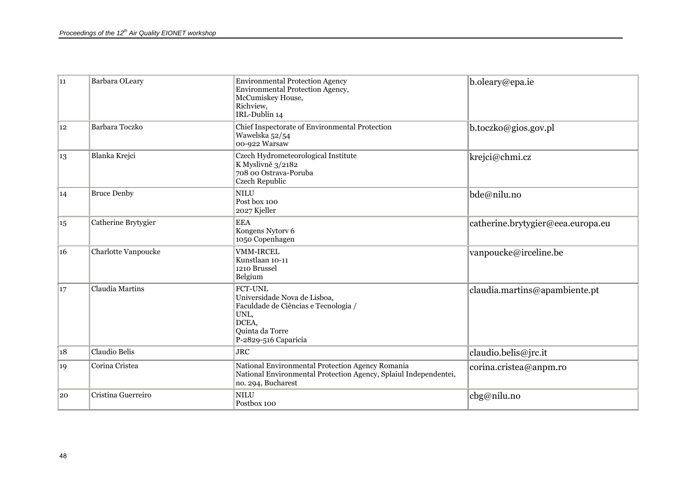| 11 | Barbara OLeary             | <b>Environmental Protection Agency</b><br>Environmental Protection Agency,<br>McCumiskey House,<br>Richview,<br>IRL-Dublin 14                      | b.oleary@epa.ie                   |
|----|----------------------------|----------------------------------------------------------------------------------------------------------------------------------------------------|-----------------------------------|
| 12 | <b>Barbara Toczko</b>      | Chief Inspectorate of Environmental Protection<br>Wawelska 52/54<br>00-922 Warsaw                                                                  | b.toczko@gios.gov.pl              |
| 13 | Blanka Krejci              | Czech Hydrometeorological Institute<br>K Myslivně 3/2182<br>708 00 Ostrava-Poruba<br>Czech Republic                                                | krejci@chmi.cz                    |
| 14 | <b>Bruce Denby</b>         | <b>NILU</b><br>Post box 100<br>2027 Kjeller                                                                                                        | bde@nilu.no                       |
| 15 | Catherine Brytygier        | <b>EEA</b><br>Kongens Nytorv 6<br>1050 Copenhagen                                                                                                  | catherine.brytygier@eea.europa.eu |
| 16 | <b>Charlotte Vanpoucke</b> | <b>VMM-IRCEL</b><br>Kunstlaan 10-11<br>1210 Brussel<br>Belgium                                                                                     | vanpoucke@irceline.be             |
| 17 | <b>Claudia Martins</b>     | <b>FCT-UNL</b><br>Universidade Nova de Lisboa,<br>Faculdade de Ciências e Tecnologia /<br>UNL,<br>DCEA,<br>Quinta da Torre<br>P-2829-516 Caparicia | claudia.martins@apambiente.pt     |
| 18 | Claudio Belis              | <b>JRC</b>                                                                                                                                         | claudio.belis@jrc.it              |
| 19 | Corina Cristea             | National Environmental Protection Agency Romania<br>National Environmental Protection Agency, Splaiul Independentei,<br>no. 294, Bucharest         | corina.cristea@anpm.ro            |
| 20 | Cristina Guerreiro         | <b>NILU</b><br>Postbox 100                                                                                                                         | cbg@nilu.no                       |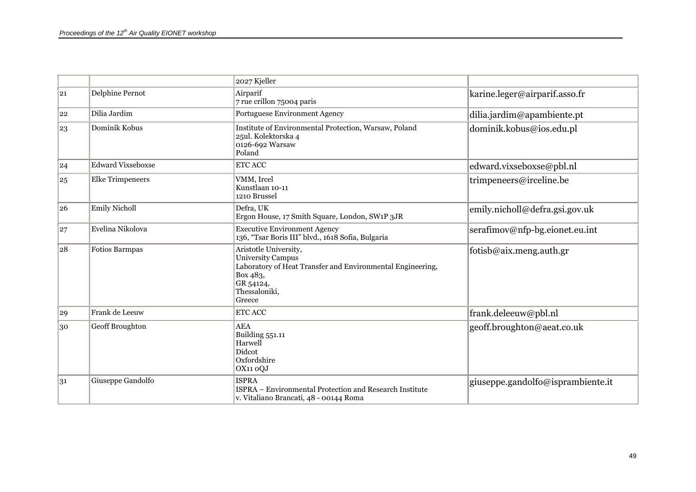|    |                          | 2027 Kjeller                                                                                                                                                        |                                   |
|----|--------------------------|---------------------------------------------------------------------------------------------------------------------------------------------------------------------|-----------------------------------|
| 21 | Delphine Pernot          | Airparif<br>7 rue crillon 75004 paris                                                                                                                               | karine.leger@airparif.asso.fr     |
| 22 | Dilia Jardim             | Portuguese Environment Agency                                                                                                                                       | dilia.jardim@apambiente.pt        |
| 23 | Dominik Kobus            | Institute of Environmental Protection, Warsaw, Poland<br>25ul. Kolektorska 4<br>0126-692 Warsaw<br>Poland                                                           | dominik.kobus@ios.edu.pl          |
| 24 | <b>Edward Vixseboxse</b> | ETC ACC                                                                                                                                                             | edward.vixseboxse@pbl.nl          |
| 25 | <b>Elke Trimpeneers</b>  | VMM, Ircel<br>Kunstlaan 10-11<br>1210 Brussel                                                                                                                       | trimpeneers@irceline.be           |
| 26 | <b>Emily Nicholl</b>     | Defra, UK<br>Ergon House, 17 Smith Square, London, SW1P 3JR                                                                                                         | emily.nicholl@defra.gsi.gov.uk    |
| 27 | Evelina Nikolova         | <b>Executive Environment Agency</b><br>136, "Tsar Boris III" blvd., 1618 Sofia, Bulgaria                                                                            | serafimov@nfp-bg.eionet.eu.int    |
| 28 | Fotios Barmpas           | Aristotle University,<br><b>University Campus</b><br>Laboratory of Heat Transfer and Environmental Engineering,<br>Box 483,<br>GR 54124,<br>Thessaloniki,<br>Greece | fotisb@aix.meng.auth.gr           |
| 29 | Frank de Leeuw           | ETC ACC                                                                                                                                                             | frank.deleeuw@pbl.nl              |
| 30 | Geoff Broughton          | <b>AEA</b><br>Building 551.11<br>Harwell<br>Didcot<br>Oxfordshire<br>OX11 oQJ                                                                                       | geoff.broughton@aeat.co.uk        |
| 31 | Giuseppe Gandolfo        | <b>ISPRA</b><br>ISPRA – Environmental Protection and Research Institute<br>v. Vitaliano Brancati, 48 - 00144 Roma                                                   | giuseppe.gandolfo@isprambiente.it |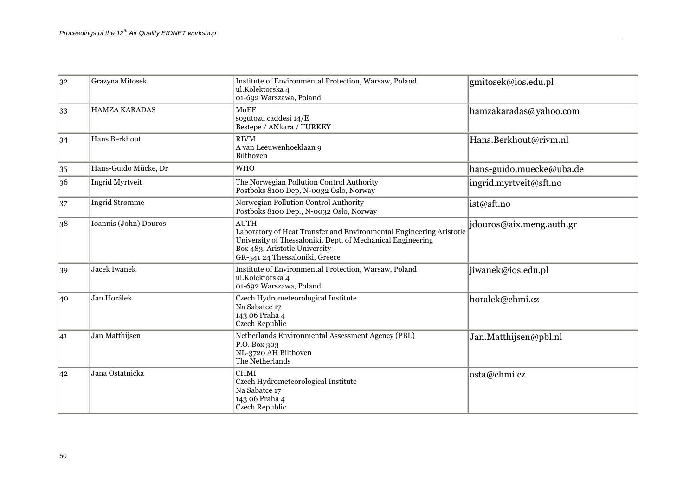| 32 | Grazyna Mitosek       | Institute of Environmental Protection, Warsaw, Poland<br>ul.Kolektorska 4<br>01-692 Warszawa, Poland                                                                                                                 | gmitosek@ios.edu.pl      |
|----|-----------------------|----------------------------------------------------------------------------------------------------------------------------------------------------------------------------------------------------------------------|--------------------------|
| 33 | <b>HAMZA KARADAS</b>  | <b>MoEF</b><br>sogutozu caddesi 14/E<br>Bestepe / ANkara / TURKEY                                                                                                                                                    | hamzakaradas@yahoo.com   |
| 34 | Hans Berkhout         | <b>RIVM</b><br>A van Leeuwenhoeklaan 9<br>Bilthoven                                                                                                                                                                  | Hans.Berkhout@rivm.nl    |
| 35 | Hans-Guido Mücke, Dr  | WHO                                                                                                                                                                                                                  | hans-guido.muecke@uba.de |
| 36 | Ingrid Myrtveit       | The Norwegian Pollution Control Authority<br>Postboks 8100 Dep, N-0032 Oslo, Norway                                                                                                                                  | ingrid.myrtveit@sft.no   |
| 37 | Ingrid Strømme        | Norwegian Pollution Control Authority<br>Postboks 8100 Dep., N-0032 Oslo, Norway                                                                                                                                     | ist@sft.no               |
| 38 | Ioannis (John) Douros | <b>AUTH</b><br>Laboratory of Heat Transfer and Environmental Engineering Aristotle<br>University of Thessaloniki, Dept. of Mechanical Engineering<br>Box 483, Aristotle University<br>GR-541 24 Thessaloniki, Greece | jdouros@aix.meng.auth.gr |
| 39 | <b>Jacek Iwanek</b>   | Institute of Environmental Protection, Warsaw, Poland<br>ul.Kolektorska 4<br>01-692 Warszawa, Poland                                                                                                                 | jiwanek@ios.edu.pl       |
| 40 | Jan Horálek           | Czech Hydrometeorological Institute<br>Na Sabatce 17<br>143 06 Praha 4<br>Czech Republic                                                                                                                             | horalek@chmi.cz          |
| 41 | Jan Matthijsen        | Netherlands Environmental Assessment Agency (PBL)<br>P.O. Box 303<br>NL-3720 AH Bilthoven<br>The Netherlands                                                                                                         | Jan.Matthijsen@pbl.nl    |
| 42 | Jana Ostatnicka       | <b>CHMI</b><br>Czech Hydrometeorological Institute<br>Na Sabatce 17<br>143 06 Praha 4<br>Czech Republic                                                                                                              | osta@chmi.cz             |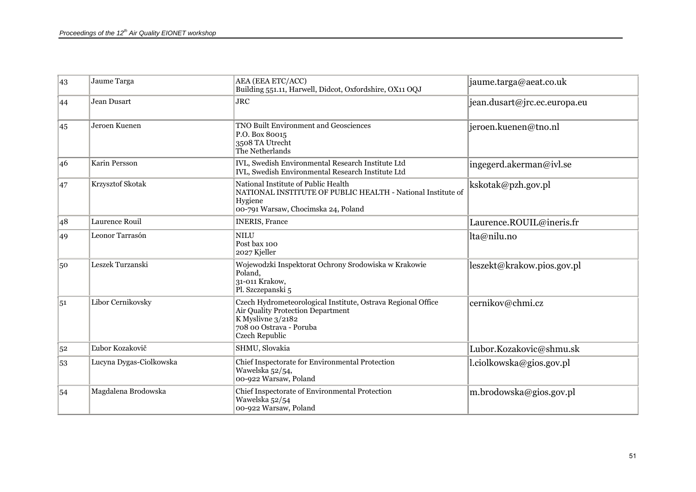| 43 | Jaume Targa             | AEA (EEA ETC/ACC)<br>Building 551.11, Harwell, Didcot, Oxfordshire, OX11 OQJ                                                                                               | jaume.targa@aeat.co.uk       |
|----|-------------------------|----------------------------------------------------------------------------------------------------------------------------------------------------------------------------|------------------------------|
| 44 | Jean Dusart             | <b>JRC</b>                                                                                                                                                                 | jean.dusart@jrc.ec.europa.eu |
| 45 | Jeroen Kuenen           | <b>TNO Built Environment and Geosciences</b><br>P.O. Box 80015<br>3508 TA Utrecht<br>The Netherlands                                                                       | jeroen.kuenen@tno.nl         |
| 46 | <b>Karin Persson</b>    | IVL, Swedish Environmental Research Institute Ltd<br>IVL, Swedish Environmental Research Institute Ltd                                                                     | ingegerd.akerman@ivl.se      |
| 47 | Krzysztof Skotak        | National Institute of Public Health<br>NATIONAL INSTITUTE OF PUBLIC HEALTH - National Institute of<br>Hygiene<br>00-791 Warsaw, Chocimska 24, Poland                       | kskotak@pzh.gov.pl           |
| 48 | Laurence Rouil          | <b>INERIS, France</b>                                                                                                                                                      | Laurence.ROUIL@ineris.fr     |
| 49 | Leonor Tarrasón         | <b>NILU</b><br>Post bax 100<br>2027 Kjeller                                                                                                                                | lta@nilu.no                  |
| 50 | Leszek Turzanski        | Wojewodzki Inspektorat Ochrony Srodowiska w Krakowie<br>Poland,<br>31-011 Krakow,<br>Pl. Szczepanski 5                                                                     | leszekt@krakow.pios.gov.pl   |
| 51 | Libor Cernikovsky       | Czech Hydrometeorological Institute, Ostrava Regional Office<br>Air Quality Protection Department<br>K Myslivne 3/2182<br>708 00 Ostrava - Poruba<br><b>Czech Republic</b> | cernikov@chmi.cz             |
| 52 | Ľubor Kozakovič         | SHMU, Slovakia                                                                                                                                                             | Lubor.Kozakovic@shmu.sk      |
| 53 | Lucyna Dygas-Ciolkowska | Chief Inspectorate for Environmental Protection<br>Wawelska 52/54,<br>00-922 Warsaw, Poland                                                                                | l.ciolkowska@gios.gov.pl     |
| 54 | Magdalena Brodowska     | Chief Inspectorate of Environmental Protection<br>Wawelska 52/54<br>00-922 Warsaw, Poland                                                                                  | m.brodowska@gios.gov.pl      |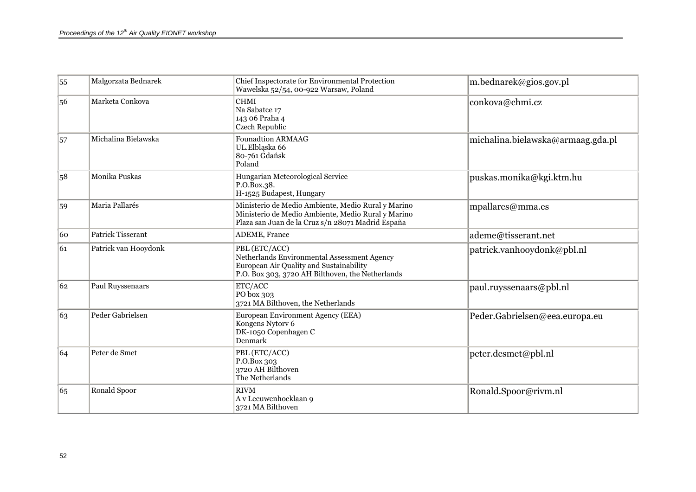| 55         | Malgorzata Bednarek      | Chief Inspectorate for Environmental Protection<br>Wawelska 52/54, 00-922 Warsaw, Poland                                                                      | m.bednarek@gios.gov.pl            |
|------------|--------------------------|---------------------------------------------------------------------------------------------------------------------------------------------------------------|-----------------------------------|
| 56         | Marketa Conkova          | <b>CHMI</b><br>Na Sabatce 17<br>143 06 Praha 4<br><b>Czech Republic</b>                                                                                       | conkova@chmi.cz                   |
| 57         | Michalina Bielawska      | <b>Founadtion ARMAAG</b><br>UL.Elbląska 66<br>80-761 Gdańsk<br>Poland                                                                                         | michalina.bielawska@armaag.gda.pl |
| $\vert$ 58 | Monika Puskas            | Hungarian Meteorological Service<br>P.O.Box.38.<br>H-1525 Budapest, Hungary                                                                                   | puskas.monika@kgi.ktm.hu          |
| 59         | Maria Pallarés           | Ministerio de Medio Ambiente, Medio Rural y Marino<br>Ministerio de Medio Ambiente, Medio Rural y Marino<br>Plaza san Juan de la Cruz s/n 28071 Madrid España | mpallares@mma.es                  |
| 60         | <b>Patrick Tisserant</b> | ADEME, France                                                                                                                                                 | ademe@tisserant.net               |
| 61         | Patrick van Hooydonk     | PBL (ETC/ACC)<br>Netherlands Environmental Assessment Agency<br>European Air Quality and Sustainability<br>P.O. Box 303, 3720 AH Bilthoven, the Netherlands   | patrick.vanhooydonk@pbl.nl        |
| 62         | Paul Ruyssenaars         | ETC/ACC<br>PO box 303<br>3721 MA Bilthoven, the Netherlands                                                                                                   | paul.ruyssenaars@pbl.nl           |
| 63         | Peder Gabrielsen         | European Environment Agency (EEA)<br>Kongens Nytorv 6<br>DK-1050 Copenhagen C<br>Denmark                                                                      | Peder.Gabrielsen@eea.europa.eu    |
| 64         | Peter de Smet            | PBL (ETC/ACC)<br>P.O.Box 303<br>3720 AH Bilthoven<br>The Netherlands                                                                                          | peter.desmet@pbl.nl               |
| 65         | Ronald Spoor             | <b>RIVM</b><br>A v Leeuwenhoeklaan 9<br>3721 MA Bilthoven                                                                                                     | Ronald.Spoor@rivm.nl              |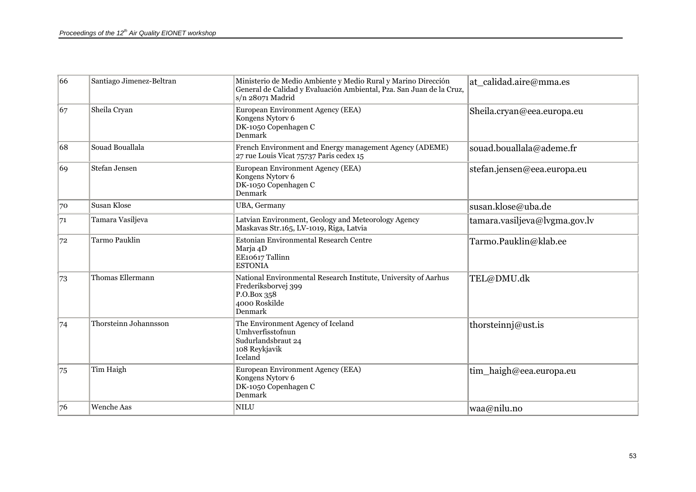| 66 | Santiago Jimenez-Beltran | Ministerio de Medio Ambiente y Medio Rural y Marino Dirección<br>General de Calidad y Evaluación Ambiental, Pza. San Juan de la Cruz,<br>s/n 28071 Madrid | at calidad.aire@mma.es        |
|----|--------------------------|-----------------------------------------------------------------------------------------------------------------------------------------------------------|-------------------------------|
| 67 | Sheila Cryan             | European Environment Agency (EEA)<br>Kongens Nytorv 6<br>DK-1050 Copenhagen C<br>Denmark                                                                  | Sheila.cryan@eea.europa.eu    |
| 68 | Souad Bouallala          | French Environment and Energy management Agency (ADEME)<br>27 rue Louis Vicat 75737 Paris cedex 15                                                        | souad.bouallala@ademe.fr      |
| 69 | Stefan Jensen            | European Environment Agency (EEA)<br>Kongens Nytory 6<br>DK-1050 Copenhagen C<br><b>Denmark</b>                                                           | stefan.jensen@eea.europa.eu   |
| 70 | <b>Susan Klose</b>       | <b>UBA</b> , Germany                                                                                                                                      | susan.klose@uba.de            |
| 71 | Tamara Vasiljeva         | Latvian Environment, Geology and Meteorology Agency<br>Maskavas Str.165, LV-1019, Riga, Latvia                                                            | tamara.vasiljeva@lvgma.gov.lv |
| 72 | <b>Tarmo Pauklin</b>     | Estonian Environmental Research Centre<br>Marja 4D<br>EE10617 Tallinn<br><b>ESTONIA</b>                                                                   | Tarmo.Pauklin@klab.ee         |
| 73 | Thomas Ellermann         | National Environmental Research Institute, University of Aarhus<br>Frederiksborvej 399<br>P.O.Box 358<br>4000 Roskilde<br>Denmark                         | TEL@DMU.dk                    |
| 74 | Thorsteinn Johannsson    | The Environment Agency of Iceland<br>Umhverfisstofnun<br>Sudurlandsbraut 24<br>108 Reykjavik<br>Iceland                                                   | thorsteinnj@ust.is            |
| 75 | Tim Haigh                | European Environment Agency (EEA)<br>Kongens Nytorv 6<br>DK-1050 Copenhagen C<br>Denmark                                                                  | tim_haigh@eea.europa.eu       |
| 76 | Wenche Aas               | <b>NILU</b>                                                                                                                                               | waa@nilu.no                   |